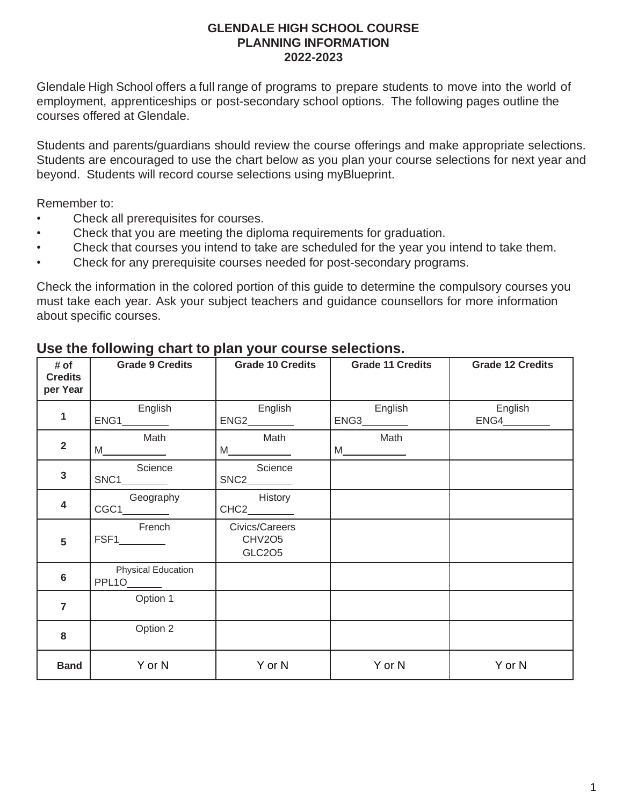### **GLENDALE HIGH SCHOOL COURSE PLANNING INFORMATION 2022-2023**

Glendale High School offers a full range of programs to prepare students to move into the world of employment, apprenticeships or post-secondary school options. The following pages outline the courses offered at Glendale.

Students and parents/guardians should review the course offerings and make appropriate selections. Students are encouraged to use the chart below as you plan your course selections for next year and beyond. Students will record course selections using myBlueprint.

Remember to:

- Check all prerequisites for courses.
- Check that you are meeting the diploma requirements for graduation.
- Check that courses you intend to take are scheduled for the year you intend to take them.
- Check for any prerequisite courses needed for post-secondary programs.

Check the information in the colored portion of this guide to determine the compulsory courses you must take each year. Ask your subject teachers and guidance counsellors for more information about specific courses.

| # of<br><b>Credits</b><br>per Year | <b>Grade 9 Credits</b>                    | <b>Grade 10 Credits</b>                                                                                                                                                                                                                                                                                                                                                                                                                                                                                                                                                                                                 | <b>Grade 11 Credits</b> | <b>Grade 12 Credits</b>                   |
|------------------------------------|-------------------------------------------|-------------------------------------------------------------------------------------------------------------------------------------------------------------------------------------------------------------------------------------------------------------------------------------------------------------------------------------------------------------------------------------------------------------------------------------------------------------------------------------------------------------------------------------------------------------------------------------------------------------------------|-------------------------|-------------------------------------------|
| 1                                  | English<br>$ENG1$ <sub>__________</sub>   | English<br>ENG2                                                                                                                                                                                                                                                                                                                                                                                                                                                                                                                                                                                                         | English<br>ENG3         | English<br>$ENG4$ <sub>____________</sub> |
| $\overline{2}$                     | Math                                      | Math<br>$M_{\underline{\hspace{1cm}}\underline{\hspace{1cm}}\underline{\hspace{1cm}}\underline{\hspace{1cm}}\underline{\hspace{1cm}}\underline{\hspace{1cm}}\underline{\hspace{1cm}}\underline{\hspace{1cm}}\underline{\hspace{1cm}}\underline{\hspace{1cm}}\underline{\hspace{1cm}}\underline{\hspace{1cm}}\underline{\hspace{1cm}}\underline{\hspace{1cm}}\underline{\hspace{1cm}}\underline{\hspace{1cm}}\underline{\hspace{1cm}}\underline{\hspace{1cm}}\underline{\hspace{1cm}}\underline{\hspace{1cm}}\underline{\hspace{1cm}}\underline{\hspace{1cm}}\underline{\hspace{1cm}}\underline{\hspace{1cm}}\underline$ | Math<br>M               |                                           |
| 3                                  | Science<br>$SNC1$ <sub>___________</sub>  | Science<br>$SNC2$ <sub>___________</sub>                                                                                                                                                                                                                                                                                                                                                                                                                                                                                                                                                                                |                         |                                           |
| 4                                  | Geography<br>$CGC1$ <sub>__________</sub> | History<br>$CHC2$ <sub>___________</sub>                                                                                                                                                                                                                                                                                                                                                                                                                                                                                                                                                                                |                         |                                           |
| 5                                  | French<br>$FSF1$ <sub>__________</sub>    | Civics/Careers<br><b>CHV2O5</b><br><b>GLC205</b>                                                                                                                                                                                                                                                                                                                                                                                                                                                                                                                                                                        |                         |                                           |
| $6\phantom{1}6$                    | <b>Physical Education</b><br>PPL10______  |                                                                                                                                                                                                                                                                                                                                                                                                                                                                                                                                                                                                                         |                         |                                           |
| $\overline{7}$                     | Option 1                                  |                                                                                                                                                                                                                                                                                                                                                                                                                                                                                                                                                                                                                         |                         |                                           |
| 8                                  | Option 2                                  |                                                                                                                                                                                                                                                                                                                                                                                                                                                                                                                                                                                                                         |                         |                                           |
| <b>Band</b>                        | Y or N                                    | Y or N                                                                                                                                                                                                                                                                                                                                                                                                                                                                                                                                                                                                                  | Y or N                  | Y or N                                    |

### **Use the following chart to plan your course selections.**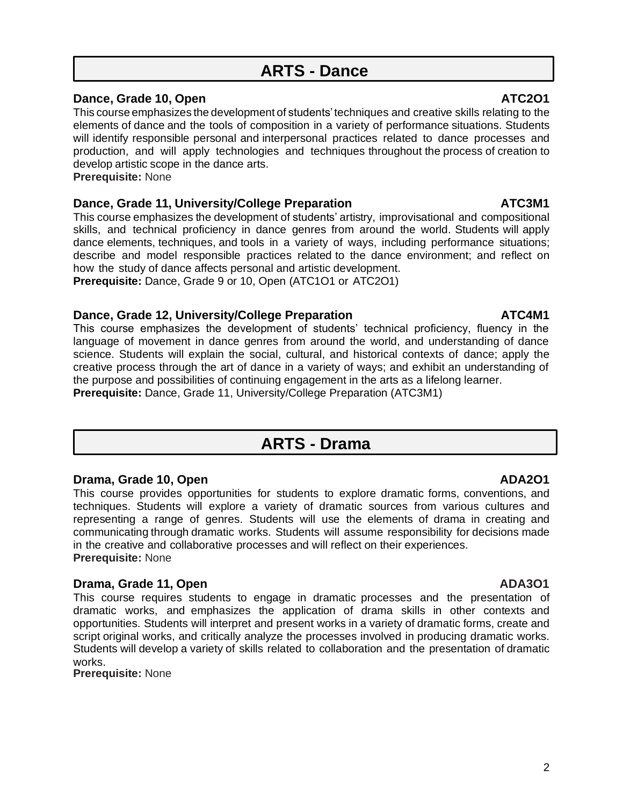# **ARTS - Dance**

### **Dance, Grade 10, Open ATC2O1**

This course emphasizes the development of students'techniques and creative skills relating to the elements of dance and the tools of composition in a variety of performance situations. Students will identify responsible personal and interpersonal practices related to dance processes and production, and will apply technologies and techniques throughout the process of creation to develop artistic scope in the dance arts.

**Prerequisite:** None

### **Dance, Grade 11, University/College Preparation ATC3M1**

This course emphasizes the development of students' artistry, improvisational and compositional skills, and technical proficiency in dance genres from around the world. Students will apply dance elements, techniques, and tools in a variety of ways, including performance situations; describe and model responsible practices related to the dance environment; and reflect on how the study of dance affects personal and artistic development.

**Prerequisite:** Dance, Grade 9 or 10, Open (ATC1O1 or ATC2O1)

### **Dance, Grade 12, University/College Preparation ATC4M1**

This course emphasizes the development of students' technical proficiency, fluency in the language of movement in dance genres from around the world, and understanding of dance science. Students will explain the social, cultural, and historical contexts of dance; apply the creative process through the art of dance in a variety of ways; and exhibit an understanding of the purpose and possibilities of continuing engagement in the arts as a lifelong learner. **Prerequisite:** Dance, Grade 11, University/College Preparation (ATC3M1)

# **ARTS - Drama**

### **Drama, Grade 10, Open ADA2O1**

This course provides opportunities for students to explore dramatic forms, conventions, and techniques. Students will explore a variety of dramatic sources from various cultures and representing a range of genres. Students will use the elements of drama in creating and communicating through dramatic works. Students will assume responsibility for decisions made in the creative and collaborative processes and will reflect on their experiences. **Prerequisite:** None

### **Drama, Grade 11, Open ADA3O1 ADA3O1**

This course requires students to engage in dramatic processes and the presentation of dramatic works, and emphasizes the application of drama skills in other contexts and opportunities. Students will interpret and present works in a variety of dramatic forms, create and script original works, and critically analyze the processes involved in producing dramatic works. Students will develop a variety of skills related to collaboration and the presentation of dramatic works.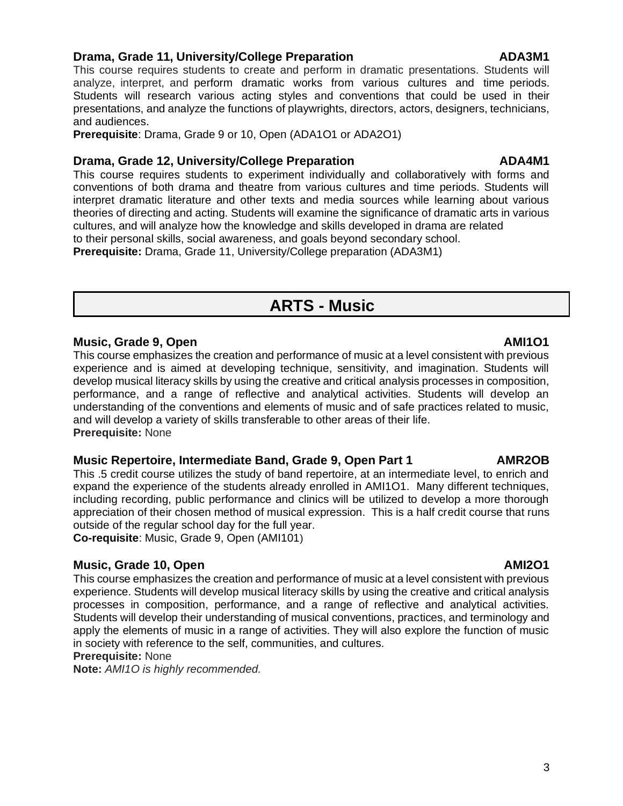### **Drama, Grade 11, University/College Preparation**

This course requires students to create and perform in dramatic presentations. Students will analyze, interpret, and perform dramatic works from various cultures and time periods. Students will research various acting styles and conventions that could be used in their presentations, and analyze the functions of playwrights, directors, actors, designers, technicians, and audiences.

**Prerequisite**: Drama, Grade 9 or 10, Open (ADA1O1 or ADA2O1)

### **Drama, Grade 12, University/College Preparation Manual ADA4M1**

This course requires students to experiment individually and collaboratively with forms and conventions of both drama and theatre from various cultures and time periods. Students will interpret dramatic literature and other texts and media sources while learning about various theories of directing and acting. Students will examine the significance of dramatic arts in various cultures, and will analyze how the knowledge and skills developed in drama are related to their personal skills, social awareness, and goals beyond secondary school.

**Prerequisite:** Drama, Grade 11, University/College preparation (ADA3M1)

# **ARTS - Music**

### **Music, Grade 9, Open** AMI1O1

This course emphasizes the creation and performance of music at a level consistent with previous experience and is aimed at developing technique, sensitivity, and imagination. Students will develop musical literacy skills by using the creative and critical analysis processes in composition, performance, and a range of reflective and analytical activities. Students will develop an understanding of the conventions and elements of music and of safe practices related to music, and will develop a variety of skills transferable to other areas of their life. **Prerequisite:** None

### **Music Repertoire, Intermediate Band, Grade 9, Open Part 1 AMR2OB**

This .5 credit course utilizes the study of band repertoire, at an intermediate level, to enrich and expand the experience of the students already enrolled in AMI1O1. Many different techniques, including recording, public performance and clinics will be utilized to develop a more thorough appreciation of their chosen method of musical expression. This is a half credit course that runs outside of the regular school day for the full year.

**Co-requisite**: Music, Grade 9, Open (AMI101)

### **Music, Grade 10, Open AMI2O1**

This course emphasizes the creation and performance of music at a level consistent with previous experience. Students will develop musical literacy skills by using the creative and critical analysis processes in composition, performance, and a range of reflective and analytical activities. Students will develop their understanding of musical conventions, practices, and terminology and apply the elements of music in a range of activities. They will also explore the function of music in society with reference to the self, communities, and cultures.

**Prerequisite:** None

**Note:** *AMI1O is highly recommended.*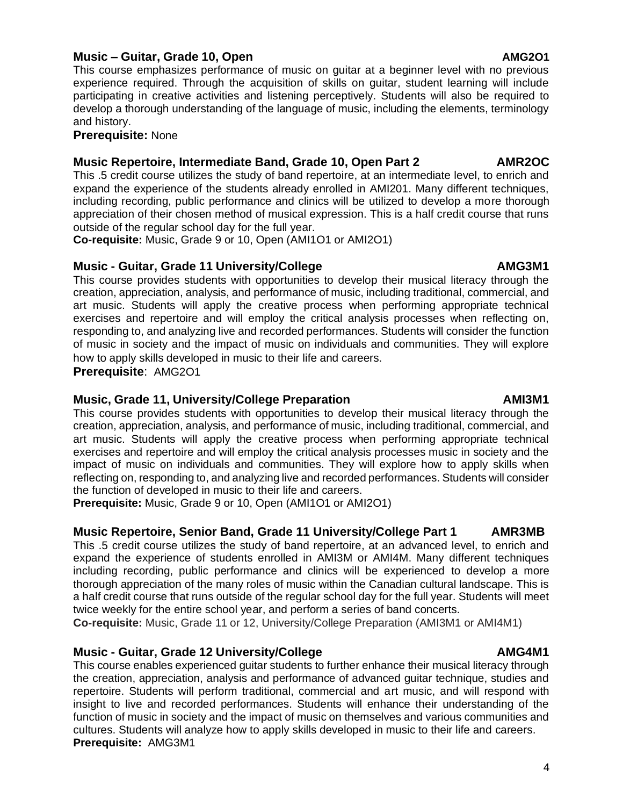### **Music – Guitar, Grade 10, Open AMG2O1**

This course emphasizes performance of music on guitar at a beginner level with no previous experience required. Through the acquisition of skills on guitar, student learning will include participating in creative activities and listening perceptively. Students will also be required to develop a thorough understanding of the language of music, including the elements, terminology and history.

### **Prerequisite:** None

### **Music Repertoire, Intermediate Band, Grade 10, Open Part 2 AMR2OC**

This .5 credit course utilizes the study of band repertoire, at an intermediate level, to enrich and expand the experience of the students already enrolled in AMI201. Many different techniques, including recording, public performance and clinics will be utilized to develop a more thorough appreciation of their chosen method of musical expression. This is a half credit course that runs outside of the regular school day for the full year.

**Co-requisite:** Music, Grade 9 or 10, Open (AMI1O1 or AMI2O1)

### **Music - Guitar, Grade 11 University/College AMG3M1**

This course provides students with opportunities to develop their musical literacy through the creation, appreciation, analysis, and performance of music, including traditional, commercial, and art music. Students will apply the creative process when performing appropriate technical exercises and repertoire and will employ the critical analysis processes when reflecting on, responding to, and analyzing live and recorded performances. Students will consider the function of music in society and the impact of music on individuals and communities. They will explore how to apply skills developed in music to their life and careers.

**Prerequisite**: AMG2O1

### **Music, Grade 11, University/College Preparation AMI3M1** AMI3M1

This course provides students with opportunities to develop their musical literacy through the creation, appreciation, analysis, and performance of music, including traditional, commercial, and art music. Students will apply the creative process when performing appropriate technical exercises and repertoire and will employ the critical analysis processes music in society and the impact of music on individuals and communities. They will explore how to apply skills when reflecting on, responding to, and analyzing live and recorded performances. Students will consider the function of developed in music to their life and careers.

**Prerequisite:** Music, Grade 9 or 10, Open (AMI1O1 or AMI2O1)

### **Music Repertoire, Senior Band, Grade 11 University/College Part 1 AMR3MB**

This .5 credit course utilizes the study of band repertoire, at an advanced level, to enrich and expand the experience of students enrolled in AMI3M or AMI4M. Many different techniques including recording, public performance and clinics will be experienced to develop a more thorough appreciation of the many roles of music within the Canadian cultural landscape. This is a half credit course that runs outside of the regular school day for the full year. Students will meet twice weekly for the entire school year, and perform a series of band concerts.

**Co-requisite:** Music, Grade 11 or 12, University/College Preparation (AMI3M1 or AMI4M1)

### **Music - Guitar, Grade 12 University/College AMG4M1**

This course enables experienced guitar students to further enhance their musical literacy through the creation, appreciation, analysis and performance of advanced guitar technique, studies and repertoire. Students will perform traditional, commercial and art music, and will respond with insight to live and recorded performances. Students will enhance their understanding of the function of music in society and the impact of music on themselves and various communities and cultures. Students will analyze how to apply skills developed in music to their life and careers. **Prerequisite:** AMG3M1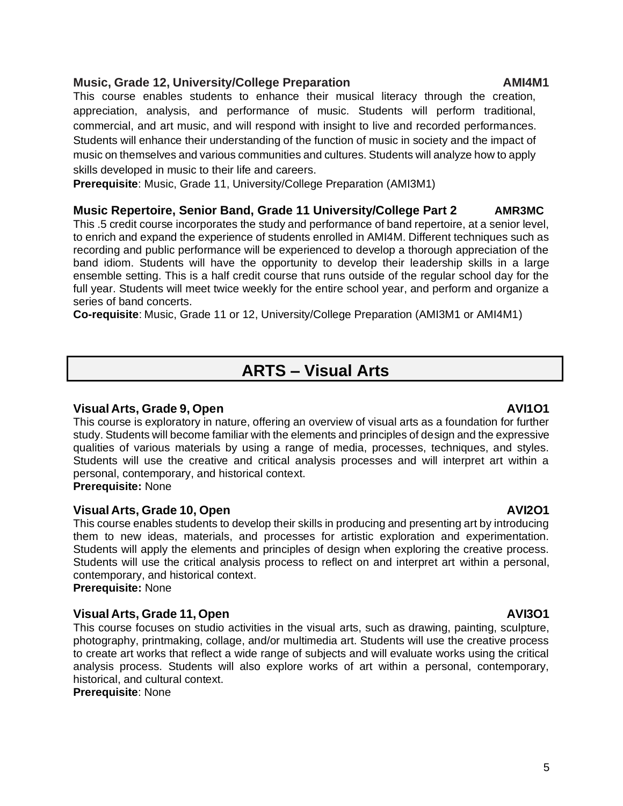### **Music, Grade 12, University/College Preparation AMI4M1**

This course enables students to enhance their musical literacy through the creation, appreciation, analysis, and performance of music. Students will perform traditional, commercial, and art music, and will respond with insight to live and recorded performances. Students will enhance their understanding of the function of music in society and the impact of music on themselves and various communities and cultures. Students will analyze how to apply skills developed in music to their life and careers.

**Prerequisite**: Music, Grade 11, University/College Preparation (AMI3M1)

### **Music Repertoire, Senior Band, Grade 11 University/College Part 2 AMR3MC**

This .5 credit course incorporates the study and performance of band repertoire, at a senior level, to enrich and expand the experience of students enrolled in AMI4M. Different techniques such as recording and public performance will be experienced to develop a thorough appreciation of the band idiom. Students will have the opportunity to develop their leadership skills in a large ensemble setting. This is a half credit course that runs outside of the regular school day for the full year. Students will meet twice weekly for the entire school year, and perform and organize a series of band concerts.

**Co-requisite**: Music, Grade 11 or 12, University/College Preparation (AMI3M1 or AMI4M1)

# **ARTS – Visual Arts**

### **Visual Arts, Grade 9, Open AVI1O1**

This course is exploratory in nature, offering an overview of visual arts as a foundation for further study. Students will become familiar with the elements and principles of design and the expressive qualities of various materials by using a range of media, processes, techniques, and styles. Students will use the creative and critical analysis processes and will interpret art within a personal, contemporary, and historical context.

**Prerequisite:** None

### **Visual Arts, Grade 10, Open AVI2O1**

This course enables students to develop their skills in producing and presenting art by introducing them to new ideas, materials, and processes for artistic exploration and experimentation. Students will apply the elements and principles of design when exploring the creative process. Students will use the critical analysis process to reflect on and interpret art within a personal, contemporary, and historical context. **Prerequisite:** None

### **Visual Arts, Grade 11, Open AVI3O1**

This course focuses on studio activities in the visual arts, such as drawing, painting, sculpture, photography, printmaking, collage, and/or multimedia art. Students will use the creative process to create art works that reflect a wide range of subjects and will evaluate works using the critical analysis process. Students will also explore works of art within a personal, contemporary, historical, and cultural context.

**Prerequisite**: None

### 5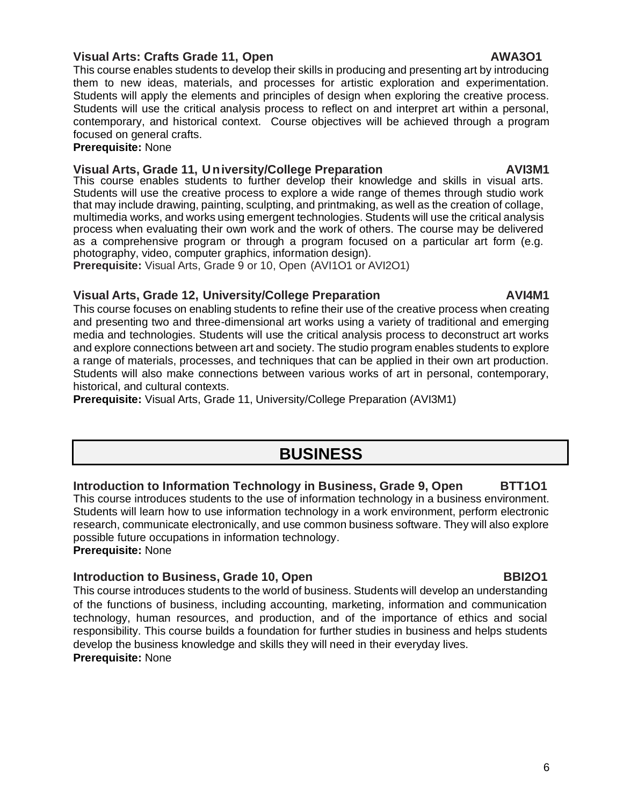### **Visual Arts: Crafts Grade 11, Open AWA3O1**

This course enables students to develop their skills in producing and presenting art by introducing them to new ideas, materials, and processes for artistic exploration and experimentation. Students will apply the elements and principles of design when exploring the creative process. Students will use the critical analysis process to reflect on and interpret art within a personal, contemporary, and historical context. Course objectives will be achieved through a program focused on general crafts.

### **Prerequisite:** None

### **Visual Arts, Grade 11, University/College Preparation Manual AVI3M1**

This course enables students to further develop their knowledge and skills in visual arts. Students will use the creative process to explore a wide range of themes through studio work that may include drawing, painting, sculpting, and printmaking, as well as the creation of collage, multimedia works, and works using emergent technologies. Students will use the critical analysis process when evaluating their own work and the work of others. The course may be delivered as a comprehensive program or through a program focused on a particular art form (e.g. photography, video, computer graphics, information design).

**Prerequisite:** Visual Arts, Grade 9 or 10, Open (AVI1O1 or AVI2O1)

### **Visual Arts, Grade 12, University/College Preparation AVI4M1**

This course focuses on enabling students to refine their use of the creative process when creating and presenting two and three-dimensional art works using a variety of traditional and emerging media and technologies. Students will use the critical analysis process to deconstruct art works and explore connections between art and society. The studio program enables students to explore a range of materials, processes, and techniques that can be applied in their own art production. Students will also make connections between various works of art in personal, contemporary, historical, and cultural contexts.

**Prerequisite:** Visual Arts, Grade 11, University/College Preparation (AVI3M1)

# **BUSINESS**

### **Introduction to Information Technology in Business, Grade 9, Open BTT1O1**

This course introduces students to the use of information technology in a business environment. Students will learn how to use information technology in a work environment, perform electronic research, communicate electronically, and use common business software. They will also explore possible future occupations in information technology. **Prerequisite:** None

### **Introduction to Business, Grade 10, Open BBI2O1**

This course introduces students to the world of business. Students will develop an understanding of the functions of business, including accounting, marketing, information and communication technology, human resources, and production, and of the importance of ethics and social responsibility. This course builds a foundation for further studies in business and helps students develop the business knowledge and skills they will need in their everyday lives. **Prerequisite:** None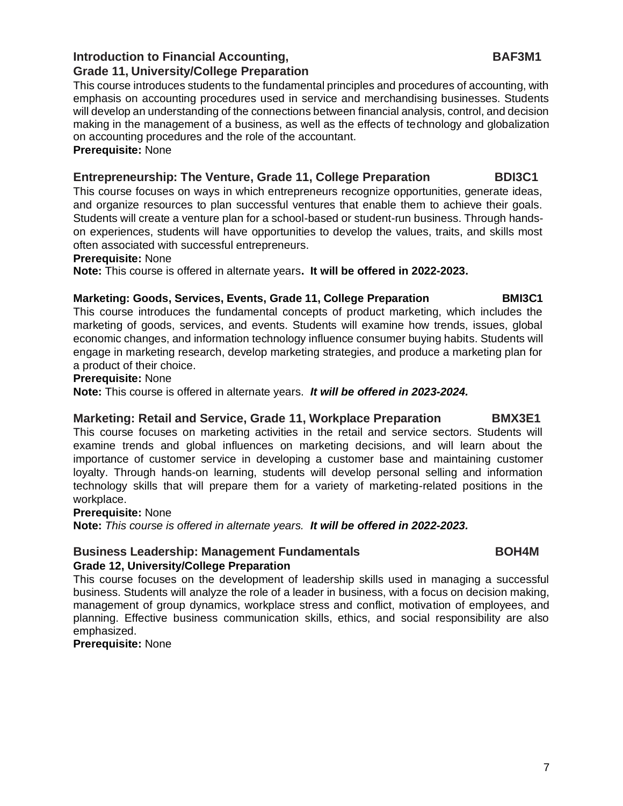### **Introduction to Financial Accounting, The Construction of BAF3M1 Grade 11, University/College Preparation**

This course introduces students to the fundamental principles and procedures of accounting, with emphasis on accounting procedures used in service and merchandising businesses. Students will develop an understanding of the connections between financial analysis, control, and decision making in the management of a business, as well as the effects of technology and globalization on accounting procedures and the role of the accountant. **Prerequisite:** None

### **Entrepreneurship: The Venture, Grade 11, College Preparation BDI3C1**

This course focuses on ways in which entrepreneurs recognize opportunities, generate ideas, and organize resources to plan successful ventures that enable them to achieve their goals. Students will create a venture plan for a school-based or student-run business. Through handson experiences, students will have opportunities to develop the values, traits, and skills most often associated with successful entrepreneurs.

### **Prerequisite:** None

**Note:** This course is offered in alternate years**. It will be offered in 2022-2023.**

### **Marketing: Goods, Services, Events, Grade 11, College Preparation BMI3C1**

This course introduces the fundamental concepts of product marketing, which includes the marketing of goods, services, and events. Students will examine how trends, issues, global economic changes, and information technology influence consumer buying habits. Students will engage in marketing research, develop marketing strategies, and produce a marketing plan for a product of their choice.

### **Prerequisite:** None

**Note:** This course is offered in alternate years. *It will be offered in 2023-2024.*

### **Marketing: Retail and Service, Grade 11, Workplace Preparation BMX3E1**

This course focuses on marketing activities in the retail and service sectors. Students will examine trends and global influences on marketing decisions, and will learn about the importance of customer service in developing a customer base and maintaining customer loyalty. Through hands-on learning, students will develop personal selling and information technology skills that will prepare them for a variety of marketing-related positions in the workplace.

### **Prerequisite:** None

**Note:** *This course is offered in alternate years. It will be offered in 2022-2023.*

### **Business Leadership: Management Fundamentals Theorem COM4M Grade 12, University/College Preparation**

This course focuses on the development of leadership skills used in managing a successful business. Students will analyze the role of a leader in business, with a focus on decision making, management of group dynamics, workplace stress and conflict, motivation of employees, and planning. Effective business communication skills, ethics, and social responsibility are also emphasized.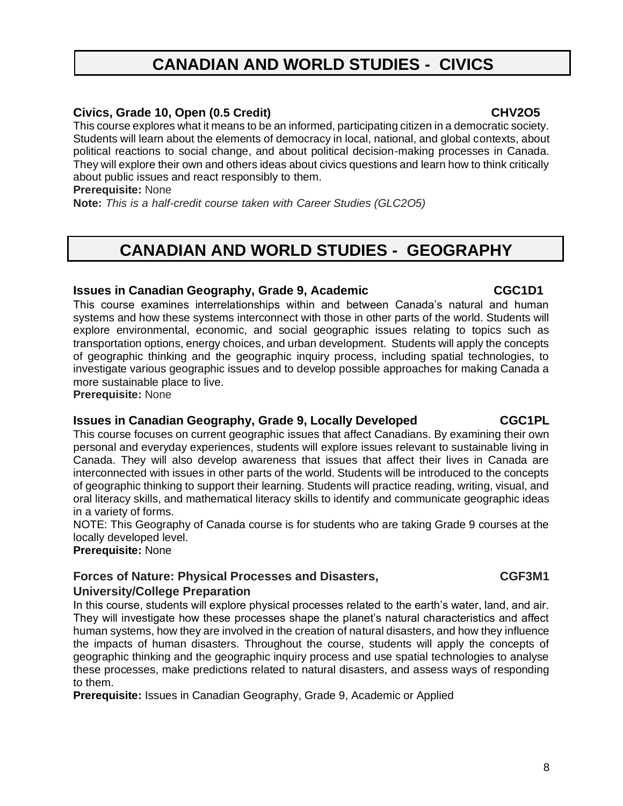# **CANADIAN AND WORLD STUDIES - CIVICS**

### **Civics, Grade 10, Open (0.5 Credit) CHV2O5**

This course explores what it means to be an informed, participating citizen in a democratic society. Students will learn about the elements of democracy in local, national, and global contexts, about political reactions to social change, and about political decision-making processes in Canada. They will explore their own and others ideas about civics questions and learn how to think critically about public issues and react responsibly to them.

**Prerequisite:** None

**Note:** *This is a half-credit course taken with Career Studies (GLC2O5)*

# **CANADIAN AND WORLD STUDIES - GEOGRAPHY**

### **Issues in Canadian Geography, Grade 9, Academic CGC1D1**

This course examines interrelationships within and between Canada's natural and human systems and how these systems interconnect with those in other parts of the world. Students will explore environmental, economic, and social geographic issues relating to topics such as transportation options, energy choices, and urban development. Students will apply the concepts of geographic thinking and the geographic inquiry process, including spatial technologies, to investigate various geographic issues and to develop possible approaches for making Canada a more sustainable place to live.

**Prerequisite:** None

### **Issues in Canadian Geography, Grade 9, Locally Developed CGC1PL**

This course focuses on current geographic issues that affect Canadians. By examining their own personal and everyday experiences, students will explore issues relevant to sustainable living in Canada. They will also develop awareness that issues that affect their lives in Canada are interconnected with issues in other parts of the world. Students will be introduced to the concepts of geographic thinking to support their learning. Students will practice reading, writing, visual, and oral literacy skills, and mathematical literacy skills to identify and communicate geographic ideas in a variety of forms.

NOTE: This Geography of Canada course is for students who are taking Grade 9 courses at the locally developed level.

**Prerequisite:** None

### **Forces of Nature: Physical Processes and Disasters, CGF3M1 University/College Preparation**

In this course, students will explore physical processes related to the earth's water, land, and air. They will investigate how these processes shape the planet's natural characteristics and affect human systems, how they are involved in the creation of natural disasters, and how they influence the impacts of human disasters. Throughout the course, students will apply the concepts of geographic thinking and the geographic inquiry process and use spatial technologies to analyse these processes, make predictions related to natural disasters, and assess ways of responding to them.

**Prerequisite:** Issues in Canadian Geography, Grade 9, Academic or Applied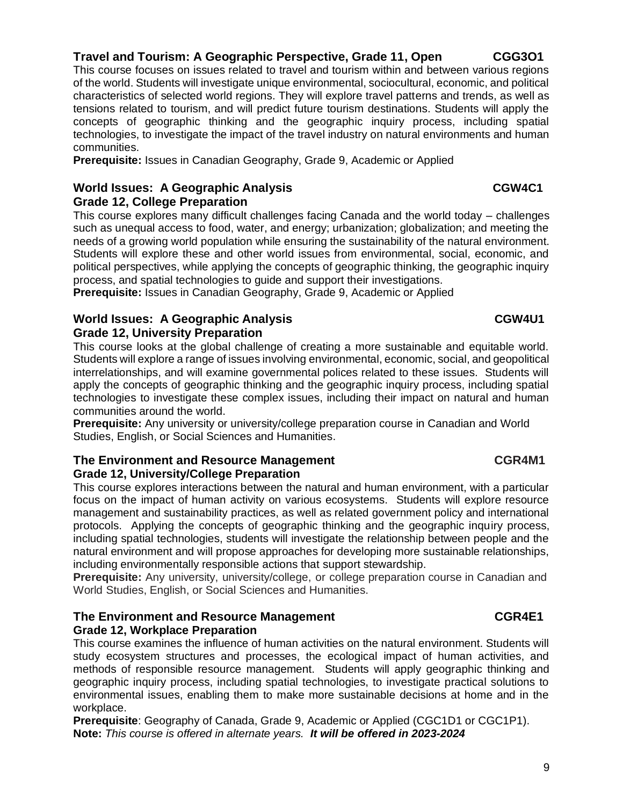### **Travel and Tourism: A Geographic Perspective, Grade 11, Open CGG3O1**

This course focuses on issues related to travel and tourism within and between various regions of the world. Students will investigate unique environmental, sociocultural, economic, and political characteristics of selected world regions. They will explore travel patterns and trends, as well as tensions related to tourism, and will predict future tourism destinations. Students will apply the concepts of geographic thinking and the geographic inquiry process, including spatial technologies, to investigate the impact of the travel industry on natural environments and human communities.

**Prerequisite:** Issues in Canadian Geography, Grade 9, Academic or Applied

### **World Issues: A Geographic Analysis CGW4C1**

**Grade 12, College Preparation**

This course explores many difficult challenges facing Canada and the world today – challenges such as unequal access to food, water, and energy; urbanization; globalization; and meeting the needs of a growing world population while ensuring the sustainability of the natural environment. Students will explore these and other world issues from environmental, social, economic, and political perspectives, while applying the concepts of geographic thinking, the geographic inquiry process, and spatial technologies to guide and support their investigations.

**Prerequisite:** Issues in Canadian Geography, Grade 9, Academic or Applied

### **World Issues: A Geographic Analysis CGW4U1 Grade 12, University Preparation**

This course looks at the global challenge of creating a more sustainable and equitable world. Students will explore a range of issues involving environmental, economic, social, and geopolitical interrelationships, and will examine governmental polices related to these issues. Students will apply the concepts of geographic thinking and the geographic inquiry process, including spatial technologies to investigate these complex issues, including their impact on natural and human communities around the world.

**Prerequisite:** Any university or university/college preparation course in Canadian and World Studies, English, or Social Sciences and Humanities.

### **The Environment and Resource Management CGR4M1 Grade 12, University/College Preparation**

This course explores interactions between the natural and human environment, with a particular focus on the impact of human activity on various ecosystems. Students will explore resource management and sustainability practices, as well as related government policy and international protocols. Applying the concepts of geographic thinking and the geographic inquiry process, including spatial technologies, students will investigate the relationship between people and the natural environment and will propose approaches for developing more sustainable relationships, including environmentally responsible actions that support stewardship.

**Prerequisite:** Any university, university/college, or college preparation course in Canadian and World Studies, English, or Social Sciences and Humanities.

### **The Environment and Resource Management CGR4E1 Grade 12, Workplace Preparation**

This course examines the influence of human activities on the natural environment. Students will study ecosystem structures and processes, the ecological impact of human activities, and methods of responsible resource management. Students will apply geographic thinking and geographic inquiry process, including spatial technologies, to investigate practical solutions to environmental issues, enabling them to make more sustainable decisions at home and in the workplace.

**Prerequisite**: Geography of Canada, Grade 9, Academic or Applied (CGC1D1 or CGC1P1). **Note:** *This course is offered in alternate years. It will be offered in 2023-2024*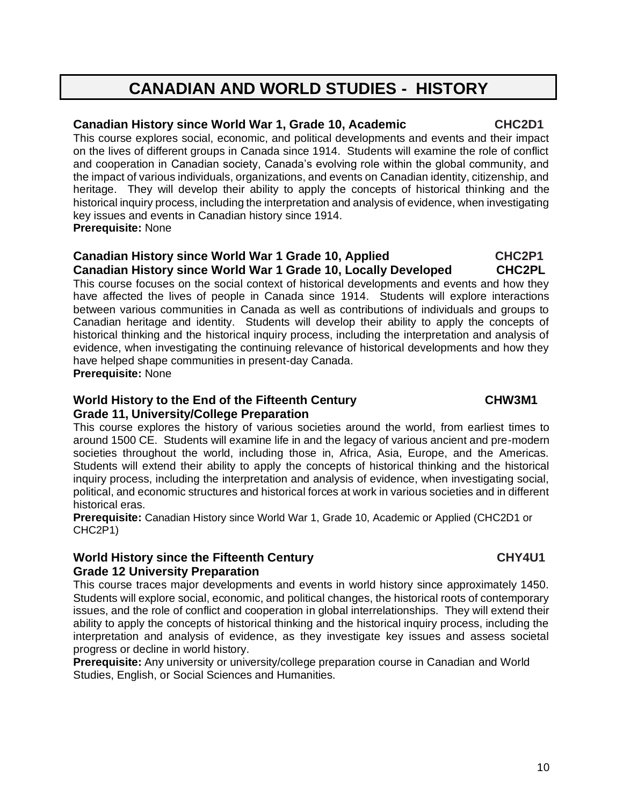# **CANADIAN AND WORLD STUDIES - HISTORY**

### **Canadian History since World War 1, Grade 10, Academic CHC2D1**

This course explores social, economic, and political developments and events and their impact on the lives of different groups in Canada since 1914. Students will examine the role of conflict and cooperation in Canadian society, Canada's evolving role within the global community, and the impact of various individuals, organizations, and events on Canadian identity, citizenship, and heritage. They will develop their ability to apply the concepts of historical thinking and the historical inquiry process, including the interpretation and analysis of evidence, when investigating key issues and events in Canadian history since 1914.

### **Prerequisite:** None

### **Canadian History since World War 1 Grade 10, Applied CHC2P1 Canadian History since World War 1 Grade 10, Locally Developed CHC2PL**

This course focuses on the social context of historical developments and events and how they have affected the lives of people in Canada since 1914. Students will explore interactions between various communities in Canada as well as contributions of individuals and groups to Canadian heritage and identity. Students will develop their ability to apply the concepts of historical thinking and the historical inquiry process, including the interpretation and analysis of evidence, when investigating the continuing relevance of historical developments and how they have helped shape communities in present-day Canada.

**Prerequisite:** None

### World History to the End of the Fifteenth Century **CHW3M1 Grade 11, University/College Preparation**

This course explores the history of various societies around the world, from earliest times to around 1500 CE. Students will examine life in and the legacy of various ancient and pre-modern societies throughout the world, including those in, Africa, Asia, Europe, and the Americas. Students will extend their ability to apply the concepts of historical thinking and the historical inquiry process, including the interpretation and analysis of evidence, when investigating social, political, and economic structures and historical forces at work in various societies and in different historical eras.

**Prerequisite:** Canadian History since World War 1, Grade 10, Academic or Applied (CHC2D1 or CHC2P1)

### World History since the Fifteenth Century **CHY4U1 Grade 12 University Preparation**

This course traces major developments and events in world history since approximately 1450. Students will explore social, economic, and political changes, the historical roots of contemporary issues, and the role of conflict and cooperation in global interrelationships. They will extend their ability to apply the concepts of historical thinking and the historical inquiry process, including the interpretation and analysis of evidence, as they investigate key issues and assess societal progress or decline in world history.

**Prerequisite:** Any university or university/college preparation course in Canadian and World Studies, English, or Social Sciences and Humanities.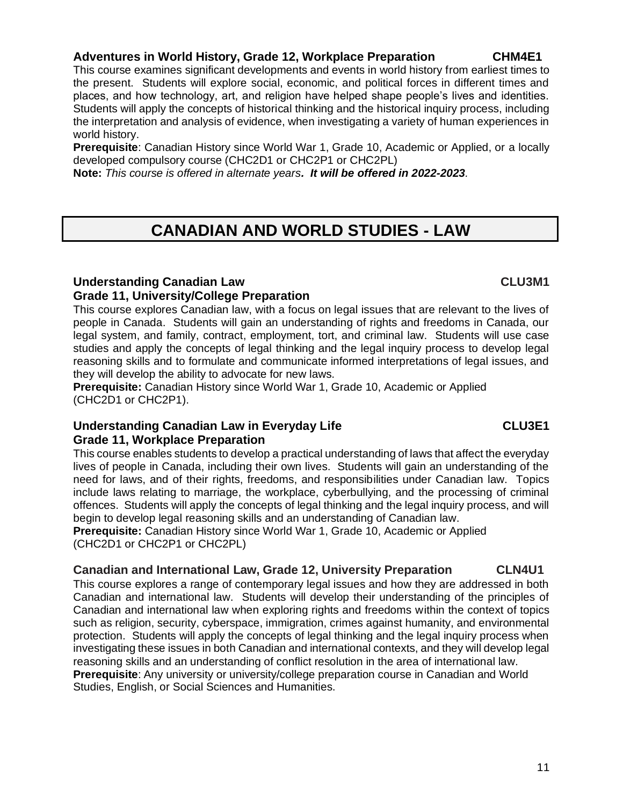### **Adventures in World History, Grade 12, Workplace Preparation CHM4E1**

This course examines significant developments and events in world history from earliest times to the present. Students will explore social, economic, and political forces in different times and places, and how technology, art, and religion have helped shape people's lives and identities. Students will apply the concepts of historical thinking and the historical inquiry process, including the interpretation and analysis of evidence, when investigating a variety of human experiences in world history.

**Prerequisite**: Canadian History since World War 1, Grade 10, Academic or Applied, or a locally developed compulsory course (CHC2D1 or CHC2P1 or CHC2PL)

**Note:** *This course is offered in alternate years. It will be offered in 2022-2023.*

# **CANADIAN AND WORLD STUDIES - LAW**

### **Understanding Canadian Law CLU3M1 Grade 11, University/College Preparation**

This course explores Canadian law, with a focus on legal issues that are relevant to the lives of people in Canada. Students will gain an understanding of rights and freedoms in Canada, our legal system, and family, contract, employment, tort, and criminal law. Students will use case studies and apply the concepts of legal thinking and the legal inquiry process to develop legal reasoning skills and to formulate and communicate informed interpretations of legal issues, and they will develop the ability to advocate for new laws.

**Prerequisite:** Canadian History since World War 1, Grade 10, Academic or Applied (CHC2D1 or CHC2P1).

### **Understanding Canadian Law in Everyday Life CLU3E1 Grade 11, Workplace Preparation**

This course enables students to develop a practical understanding of laws that affect the everyday lives of people in Canada, including their own lives. Students will gain an understanding of the need for laws, and of their rights, freedoms, and responsibilities under Canadian law. Topics include laws relating to marriage, the workplace, cyberbullying, and the processing of criminal offences. Students will apply the concepts of legal thinking and the legal inquiry process, and will begin to develop legal reasoning skills and an understanding of Canadian law. **Prerequisite:** Canadian History since World War 1, Grade 10, Academic or Applied

(CHC2D1 or CHC2P1 or CHC2PL)

### **Canadian and International Law, Grade 12, University Preparation CLN4U1**

This course explores a range of contemporary legal issues and how they are addressed in both Canadian and international law. Students will develop their understanding of the principles of Canadian and international law when exploring rights and freedoms within the context of topics such as religion, security, cyberspace, immigration, crimes against humanity, and environmental protection. Students will apply the concepts of legal thinking and the legal inquiry process when investigating these issues in both Canadian and international contexts, and they will develop legal reasoning skills and an understanding of conflict resolution in the area of international law. **Prerequisite**: Any university or university/college preparation course in Canadian and World Studies, English, or Social Sciences and Humanities.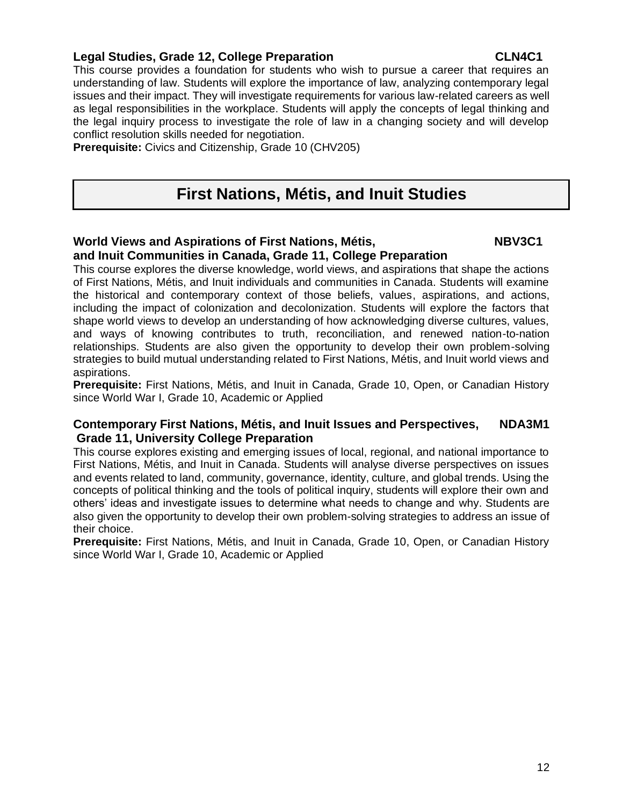### **Legal Studies, Grade 12, College Preparation CLN4C1**

This course provides a foundation for students who wish to pursue a career that requires an understanding of law. Students will explore the importance of law, analyzing contemporary legal issues and their impact. They will investigate requirements for various law-related careers as well as legal responsibilities in the workplace. Students will apply the concepts of legal thinking and the legal inquiry process to investigate the role of law in a changing society and will develop conflict resolution skills needed for negotiation.

**Prerequisite:** Civics and Citizenship, Grade 10 (CHV205)

# **First Nations, Métis, and Inuit Studies**

### World Views and Aspirations of First Nations, Métis, NBV3C1 **and Inuit Communities in Canada, Grade 11, College Preparation**

This course explores the diverse knowledge, world views, and aspirations that shape the actions of First Nations, Métis, and Inuit individuals and communities in Canada. Students will examine the historical and contemporary context of those beliefs, values, aspirations, and actions, including the impact of colonization and decolonization. Students will explore the factors that shape world views to develop an understanding of how acknowledging diverse cultures, values, and ways of knowing contributes to truth, reconciliation, and renewed nation-to-nation relationships. Students are also given the opportunity to develop their own problem-solving strategies to build mutual understanding related to First Nations, Métis, and Inuit world views and aspirations.

**Prerequisite:** First Nations, Métis, and Inuit in Canada, Grade 10, Open, or Canadian History since World War I, Grade 10, Academic or Applied

### **Contemporary First Nations, Métis, and Inuit Issues and Perspectives, NDA3M1 Grade 11, University College Preparation**

This course explores existing and emerging issues of local, regional, and national importance to First Nations, Métis, and Inuit in Canada. Students will analyse diverse perspectives on issues and events related to land, community, governance, identity, culture, and global trends. Using the concepts of political thinking and the tools of political inquiry, students will explore their own and others' ideas and investigate issues to determine what needs to change and why. Students are also given the opportunity to develop their own problem-solving strategies to address an issue of their choice.

**Prerequisite:** First Nations, Métis, and Inuit in Canada, Grade 10, Open, or Canadian History since World War I, Grade 10, Academic or Applied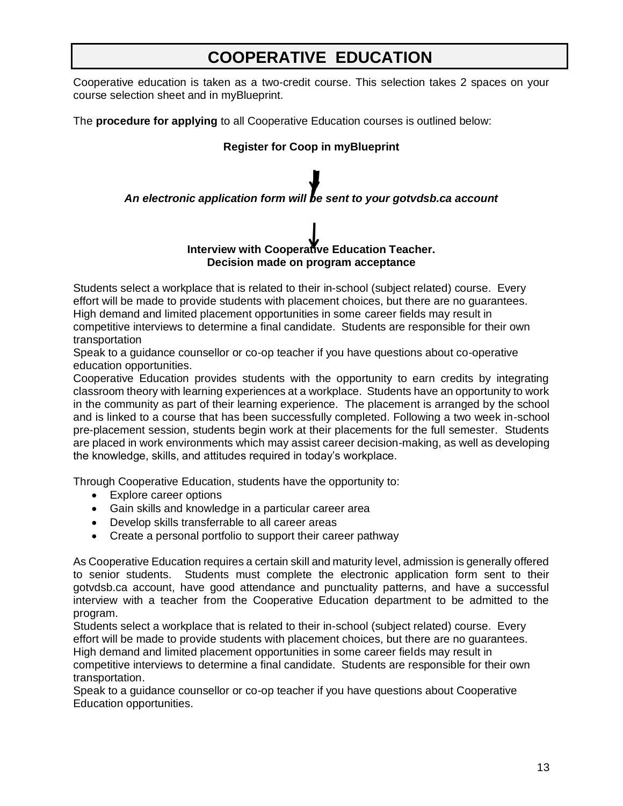# **COOPERATIVE EDUCATION**

Cooperative education is taken as a two-credit course. This selection takes 2 spaces on your course selection sheet and in myBlueprint.

The **procedure for applying** to all Cooperative Education courses is outlined below:

### **Register for Coop in myBlueprint**

### *An electronic application form will be sent to your gotvdsb.ca account*

### **Interview with Cooperative Education Teacher. Decision made on program acceptance**

Students select a workplace that is related to their in-school (subject related) course. Every effort will be made to provide students with placement choices, but there are no guarantees. High demand and limited placement opportunities in some career fields may result in competitive interviews to determine a final candidate. Students are responsible for their own transportation

Speak to a guidance counsellor or co-op teacher if you have questions about co-operative education opportunities.

Cooperative Education provides students with the opportunity to earn credits by integrating classroom theory with learning experiences at a workplace. Students have an opportunity to work in the community as part of their learning experience. The placement is arranged by the school and is linked to a course that has been successfully completed. Following a two week in-school pre-placement session, students begin work at their placements for the full semester. Students are placed in work environments which may assist career decision-making, as well as developing the knowledge, skills, and attitudes required in today's workplace.

Through Cooperative Education, students have the opportunity to:

- Explore career options
- Gain skills and knowledge in a particular career area
- Develop skills transferrable to all career areas
- Create a personal portfolio to support their career pathway

As Cooperative Education requires a certain skill and maturity level, admission is generally offered to senior students. Students must complete the electronic application form sent to their gotvdsb.ca account, have good attendance and punctuality patterns, and have a successful interview with a teacher from the Cooperative Education department to be admitted to the program.

Students select a workplace that is related to their in-school (subject related) course. Every effort will be made to provide students with placement choices, but there are no guarantees. High demand and limited placement opportunities in some career fields may result in

competitive interviews to determine a final candidate. Students are responsible for their own transportation.

Speak to a guidance counsellor or co-op teacher if you have questions about Cooperative Education opportunities.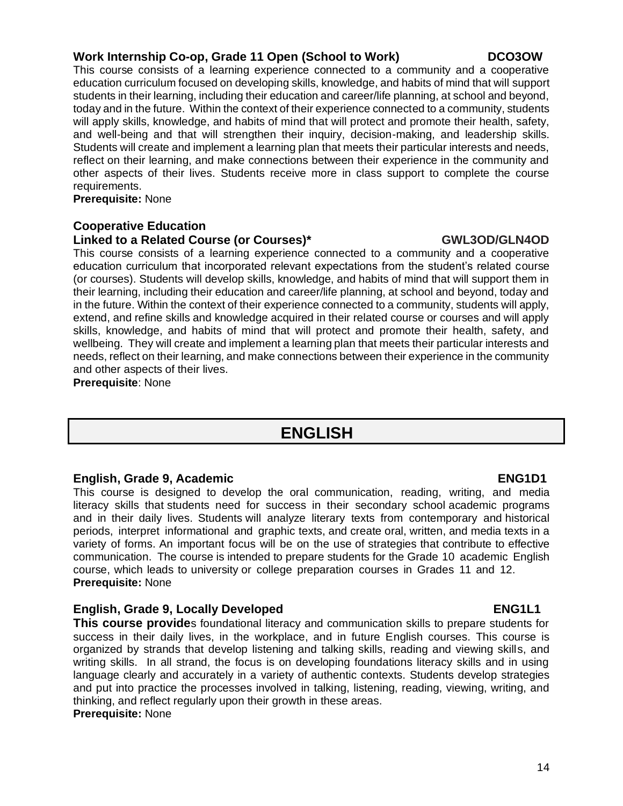### **Work Internship Co-op, Grade 11 Open (School to Work) DCO3OW**

This course consists of a learning experience connected to a community and a cooperative education curriculum focused on developing skills, knowledge, and habits of mind that will support students in their learning, including their education and career/life planning, at school and beyond, today and in the future. Within the context of their experience connected to a community, students will apply skills, knowledge, and habits of mind that will protect and promote their health, safety, and well-being and that will strengthen their inquiry, decision-making, and leadership skills. Students will create and implement a learning plan that meets their particular interests and needs, reflect on their learning, and make connections between their experience in the community and other aspects of their lives. Students receive more in class support to complete the course requirements.

**Prerequisite:** None …………………………………….

### **Cooperative Education**

### **Linked to a Related Course (or Courses)\* GWL3OD/GLN4OD**

This course consists of a learning experience connected to a community and a cooperative education curriculum that incorporated relevant expectations from the student's related course (or courses). Students will develop skills, knowledge, and habits of mind that will support them in their learning, including their education and career/life planning, at school and beyond, today and in the future. Within the context of their experience connected to a community, students will apply, extend, and refine skills and knowledge acquired in their related course or courses and will apply skills, knowledge, and habits of mind that will protect and promote their health, safety, and wellbeing. They will create and implement a learning plan that meets their particular interests and needs, reflect on their learning, and make connections between their experience in the community and other aspects of their lives.

**Prerequisite**: None

# **ENGLISH**

### **English, Grade 9, Academic ENG1D1**

This course is designed to develop the oral communication, reading, writing, and media literacy skills that students need for success in their secondary school academic programs and in their daily lives. Students will analyze literary texts from contemporary and historical periods, interpret informational and graphic texts, and create oral, written, and media texts in a variety of forms. An important focus will be on the use of strategies that contribute to effective communication. The course is intended to prepare students for the Grade 10 academic English course, which leads to university or college preparation courses in Grades 11 and 12. **Prerequisite:** None

### English, Grade 9, Locally Developed **ENG1L1**

**This course provide**s foundational literacy and communication skills to prepare students for success in their daily lives, in the workplace, and in future English courses. This course is organized by strands that develop listening and talking skills, reading and viewing skills, and writing skills. In all strand, the focus is on developing foundations literacy skills and in using language clearly and accurately in a variety of authentic contexts. Students develop strategies and put into practice the processes involved in talking, listening, reading, viewing, writing, and thinking, and reflect regularly upon their growth in these areas.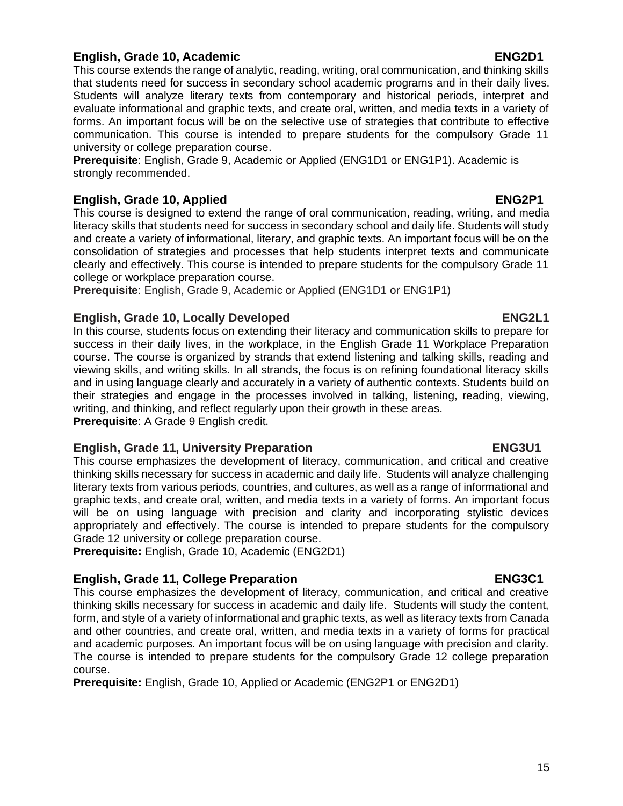### **English, Grade 10, Academic ENG2D1**

This course extends the range of analytic, reading, writing, oral communication, and thinking skills that students need for success in secondary school academic programs and in their daily lives. Students will analyze literary texts from contemporary and historical periods, interpret and evaluate informational and graphic texts, and create oral, written, and media texts in a variety of forms. An important focus will be on the selective use of strategies that contribute to effective communication. This course is intended to prepare students for the compulsory Grade 11 university or college preparation course.

**Prerequisite**: English, Grade 9, Academic or Applied (ENG1D1 or ENG1P1). Academic is strongly recommended.

### **English, Grade 10, Applied ENG2P1**

This course is designed to extend the range of oral communication, reading, writing, and media literacy skills that students need for success in secondary school and daily life. Students will study and create a variety of informational, literary, and graphic texts. An important focus will be on the consolidation of strategies and processes that help students interpret texts and communicate clearly and effectively. This course is intended to prepare students for the compulsory Grade 11 college or workplace preparation course.

**Prerequisite**: English, Grade 9, Academic or Applied (ENG1D1 or ENG1P1)

### **English, Grade 10, Locally Developed ENG2L1**

In this course, students focus on extending their literacy and communication skills to prepare for success in their daily lives, in the workplace, in the English Grade 11 Workplace Preparation course. The course is organized by strands that extend listening and talking skills, reading and viewing skills, and writing skills. In all strands, the focus is on refining foundational literacy skills and in using language clearly and accurately in a variety of authentic contexts. Students build on their strategies and engage in the processes involved in talking, listening, reading, viewing, writing, and thinking, and reflect regularly upon their growth in these areas. **Prerequisite**: A Grade 9 English credit.

### **English, Grade 11, University Preparation ENG3U1**

This course emphasizes the development of literacy, communication, and critical and creative thinking skills necessary for success in academic and daily life. Students will analyze challenging literary texts from various periods, countries, and cultures, as well as a range of informational and graphic texts, and create oral, written, and media texts in a variety of forms. An important focus will be on using language with precision and clarity and incorporating stylistic devices appropriately and effectively. The course is intended to prepare students for the compulsory Grade 12 university or college preparation course.

**Prerequisite:** English, Grade 10, Academic (ENG2D1)

### **English, Grade 11, College Preparation English, ENG3C1**

This course emphasizes the development of literacy, communication, and critical and creative thinking skills necessary for success in academic and daily life. Students will study the content, form, and style of a variety of informational and graphic texts, as well as literacy texts from Canada and other countries, and create oral, written, and media texts in a variety of forms for practical and academic purposes. An important focus will be on using language with precision and clarity. The course is intended to prepare students for the compulsory Grade 12 college preparation course.

**Prerequisite:** English, Grade 10, Applied or Academic (ENG2P1 or ENG2D1)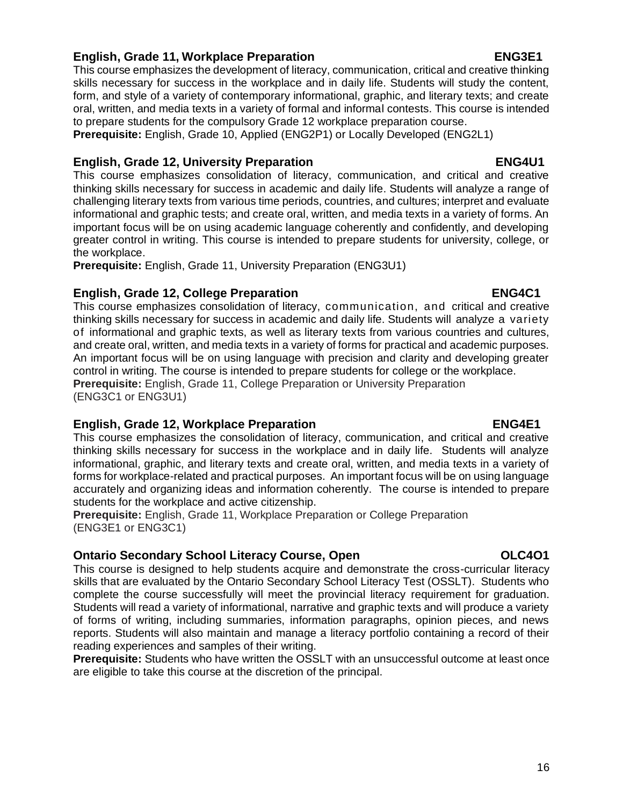### **English, Grade 11, Workplace Preparation ENG3E1**

This course emphasizes the development of literacy, communication, critical and creative thinking skills necessary for success in the workplace and in daily life. Students will study the content, form, and style of a variety of contemporary informational, graphic, and literary texts; and create oral, written, and media texts in a variety of formal and informal contests. This course is intended to prepare students for the compulsory Grade 12 workplace preparation course.

**Prerequisite:** English, Grade 10, Applied (ENG2P1) or Locally Developed (ENG2L1)

### **English, Grade 12, University Preparation English, ENG4U1**

This course emphasizes consolidation of literacy, communication, and critical and creative thinking skills necessary for success in academic and daily life. Students will analyze a range of challenging literary texts from various time periods, countries, and cultures; interpret and evaluate informational and graphic tests; and create oral, written, and media texts in a variety of forms. An important focus will be on using academic language coherently and confidently, and developing greater control in writing. This course is intended to prepare students for university, college, or the workplace.

**Prerequisite:** English, Grade 11, University Preparation (ENG3U1)

### **English, Grade 12, College Preparation English, Grade 12, College Preparation**

This course emphasizes consolidation of literacy, communication, and critical and creative thinking skills necessary for success in academic and daily life. Students will analyze a variety of informational and graphic texts, as well as literary texts from various countries and cultures, and create oral, written, and media texts in a variety of forms for practical and academic purposes. An important focus will be on using language with precision and clarity and developing greater control in writing. The course is intended to prepare students for college or the workplace. **Prerequisite:** English, Grade 11, College Preparation or University Preparation (ENG3C1 or ENG3U1)

### **English, Grade 12, Workplace Preparation ENG4E1**

This course emphasizes the consolidation of literacy, communication, and critical and creative thinking skills necessary for success in the workplace and in daily life. Students will analyze informational, graphic, and literary texts and create oral, written, and media texts in a variety of forms for workplace-related and practical purposes. An important focus will be on using language accurately and organizing ideas and information coherently. The course is intended to prepare students for the workplace and active citizenship.

**Prerequisite:** English, Grade 11, Workplace Preparation or College Preparation (ENG3E1 or ENG3C1)

### **Ontario Secondary School Literacy Course, Open OLC4O1**

This course is designed to help students acquire and demonstrate the cross-curricular literacy skills that are evaluated by the Ontario Secondary School Literacy Test (OSSLT). Students who complete the course successfully will meet the provincial literacy requirement for graduation. Students will read a variety of informational, narrative and graphic texts and will produce a variety of forms of writing, including summaries, information paragraphs, opinion pieces, and news reports. Students will also maintain and manage a literacy portfolio containing a record of their reading experiences and samples of their writing.

**Prerequisite:** Students who have written the OSSLT with an unsuccessful outcome at least once are eligible to take this course at the discretion of the principal.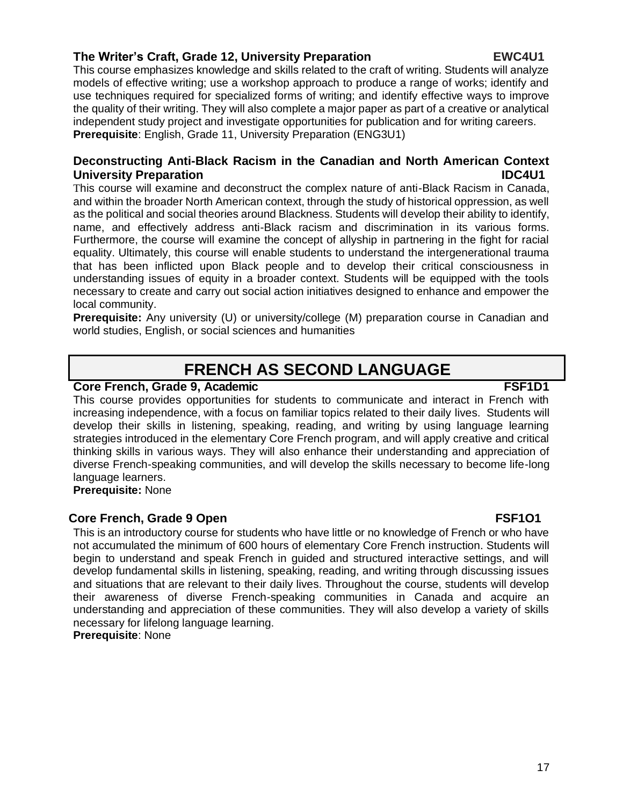### **The Writer's Craft, Grade 12, University Preparation EWC4U1**

This course emphasizes knowledge and skills related to the craft of writing. Students will analyze models of effective writing; use a workshop approach to produce a range of works; identify and use techniques required for specialized forms of writing; and identify effective ways to improve the quality of their writing. They will also complete a major paper as part of a creative or analytical independent study project and investigate opportunities for publication and for writing careers. **Prerequisite**: English, Grade 11, University Preparation (ENG3U1)

### **Deconstructing Anti-Black Racism in the Canadian and North American Context University Preparation IDC4U1**

This course will examine and deconstruct the complex nature of anti-Black Racism in Canada, and within the broader North American context, through the study of historical oppression, as well as the political and social theories around Blackness. Students will develop their ability to identify, name, and effectively address anti-Black racism and discrimination in its various forms. Furthermore, the course will examine the concept of allyship in partnering in the fight for racial equality. Ultimately, this course will enable students to understand the intergenerational trauma that has been inflicted upon Black people and to develop their critical consciousness in understanding issues of equity in a broader context. Students will be equipped with the tools necessary to create and carry out social action initiatives designed to enhance and empower the local community.

**Prerequisite:** Any university (U) or university/college (M) preparation course in Canadian and world studies, English, or social sciences and humanities

# **FRENCH AS SECOND LANGUAGE**

### **Core French, Grade 9, Academic FSF1D1**

This course provides opportunities for students to communicate and interact in French with increasing independence, with a focus on familiar topics related to their daily lives. Students will develop their skills in listening, speaking, reading, and writing by using language learning strategies introduced in the elementary Core French program, and will apply creative and critical thinking skills in various ways. They will also enhance their understanding and appreciation of diverse French-speaking communities, and will develop the skills necessary to become life-long language learners.

**Prerequisite:** None

…

### **Core French, Grade 9 Open FSF101**

This is an introductory course for students who have little or no knowledge of French or who have not accumulated the minimum of 600 hours of elementary Core French instruction. Students will begin to understand and speak French in guided and structured interactive settings, and will develop fundamental skills in listening, speaking, reading, and writing through discussing issues and situations that are relevant to their daily lives. Throughout the course, students will develop their awareness of diverse French-speaking communities in Canada and acquire an understanding and appreciation of these communities. They will also develop a variety of skills necessary for lifelong language learning.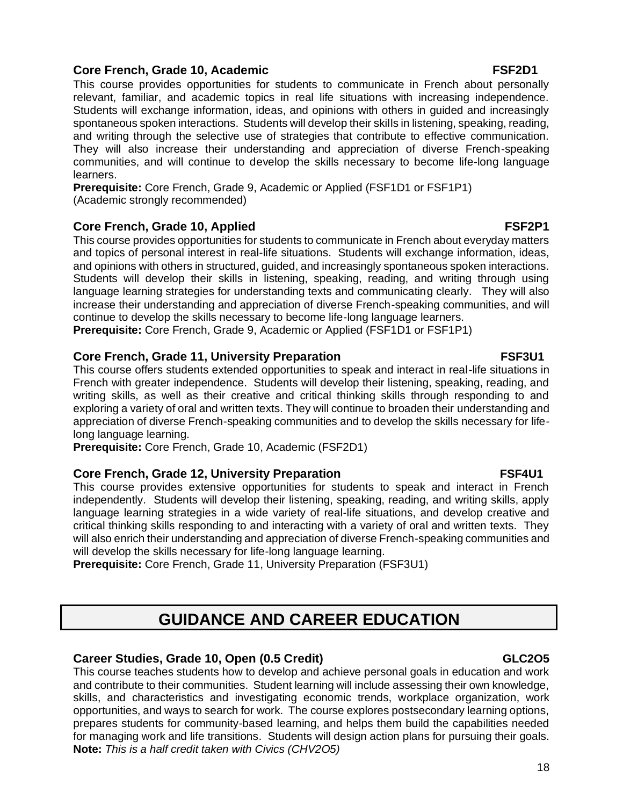### **Core French, Grade 10, Academic FSF2D1**

This course provides opportunities for students to communicate in French about personally relevant, familiar, and academic topics in real life situations with increasing independence. Students will exchange information, ideas, and opinions with others in guided and increasingly spontaneous spoken interactions. Students will develop their skills in listening, speaking, reading, and writing through the selective use of strategies that contribute to effective communication. They will also increase their understanding and appreciation of diverse French-speaking communities, and will continue to develop the skills necessary to become life-long language learners.

**Prerequisite:** Core French, Grade 9, Academic or Applied (FSF1D1 or FSF1P1) (Academic strongly recommended)

### **Core French, Grade 10, Applied FSF2P1**

This course provides opportunities for students to communicate in French about everyday matters and topics of personal interest in real-life situations. Students will exchange information, ideas, and opinions with others in structured, guided, and increasingly spontaneous spoken interactions. Students will develop their skills in listening, speaking, reading, and writing through using language learning strategies for understanding texts and communicating clearly. They will also increase their understanding and appreciation of diverse French-speaking communities, and will continue to develop the skills necessary to become life-long language learners.

**Prerequisite:** Core French, Grade 9, Academic or Applied (FSF1D1 or FSF1P1)

### **Core French, Grade 11, University Preparation <b>***FSF3U1*

This course offers students extended opportunities to speak and interact in real-life situations in French with greater independence. Students will develop their listening, speaking, reading, and writing skills, as well as their creative and critical thinking skills through responding to and exploring a variety of oral and written texts. They will continue to broaden their understanding and appreciation of diverse French-speaking communities and to develop the skills necessary for lifelong language learning.

**Prerequisite:** Core French, Grade 10, Academic (FSF2D1)

### **Core French, Grade 12, University Preparation FSF4U1**

This course provides extensive opportunities for students to speak and interact in French independently. Students will develop their listening, speaking, reading, and writing skills, apply language learning strategies in a wide variety of real-life situations, and develop creative and critical thinking skills responding to and interacting with a variety of oral and written texts. They will also enrich their understanding and appreciation of diverse French-speaking communities and will develop the skills necessary for life-long language learning.

**Prerequisite:** Core French, Grade 11, University Preparation (FSF3U1)

# **GUIDANCE AND CAREER EDUCATION**

### **Career Studies, Grade 10, Open (0.5 Credit) GLC2O5**

This course teaches students how to develop and achieve personal goals in education and work and contribute to their communities. Student learning will include assessing their own knowledge, skills, and characteristics and investigating economic trends, workplace organization, work opportunities, and ways to search for work. The course explores postsecondary learning options, prepares students for community-based learning, and helps them build the capabilities needed for managing work and life transitions. Students will design action plans for pursuing their goals. **Note:** *This is a half credit taken with Civics (CHV2O5)*

### 18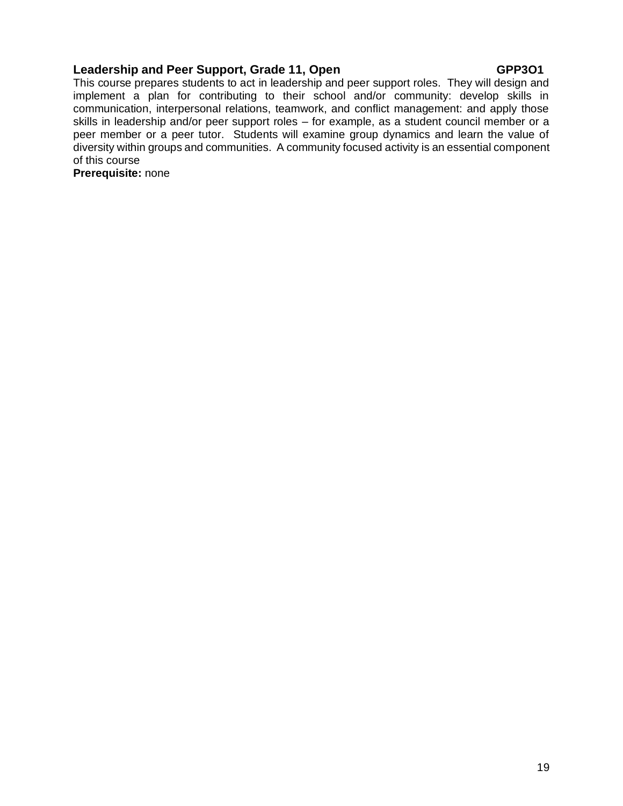### **Leadership and Peer Support, Grade 11, Open <b>COPP301**

This course prepares students to act in leadership and peer support roles. They will design and implement a plan for contributing to their school and/or community: develop skills in communication, interpersonal relations, teamwork, and conflict management: and apply those skills in leadership and/or peer support roles – for example, as a student council member or a peer member or a peer tutor. Students will examine group dynamics and learn the value of diversity within groups and communities. A community focused activity is an essential component of this course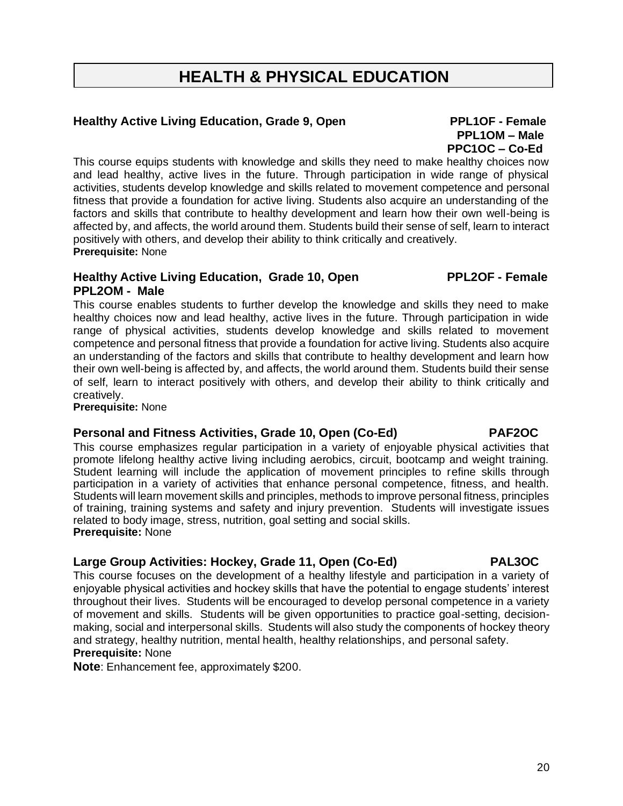# **HEALTH & PHYSICAL EDUCATION**

### **Healthy Active Living Education, Grade 9, Open PPL1OF - Female**

# This course equips students with knowledge and skills they need to make healthy choices now

and lead healthy, active lives in the future. Through participation in wide range of physical activities, students develop knowledge and skills related to movement competence and personal fitness that provide a foundation for active living. Students also acquire an understanding of the factors and skills that contribute to healthy development and learn how their own well-being is affected by, and affects, the world around them. Students build their sense of self, learn to interact positively with others, and develop their ability to think critically and creatively. **Prerequisite:** None

### **Healthy Active Living Education, Grade 10, Open PPL2OF - Female PPL2OM - Male**

This course enables students to further develop the knowledge and skills they need to make healthy choices now and lead healthy, active lives in the future. Through participation in wide range of physical activities, students develop knowledge and skills related to movement competence and personal fitness that provide a foundation for active living. Students also acquire an understanding of the factors and skills that contribute to healthy development and learn how their own well-being is affected by, and affects, the world around them. Students build their sense of self, learn to interact positively with others, and develop their ability to think critically and creatively.

**Prerequisite:** None

# **Personal and Fitness Activities, Grade 10, Open (Co-Ed) PAF2OC**

This course emphasizes regular participation in a variety of enjoyable physical activities that promote lifelong healthy active living including aerobics, circuit, bootcamp and weight training. Student learning will include the application of movement principles to refine skills through participation in a variety of activities that enhance personal competence, fitness, and health. Students will learn movement skills and principles, methods to improve personal fitness, principles of training, training systems and safety and injury prevention. Students will investigate issues related to body image, stress, nutrition, goal setting and social skills. **Prerequisite:** None

### **Large Group Activities: Hockey, Grade 11, Open (Co-Ed) PAL3OC**

This course focuses on the development of a healthy lifestyle and participation in a variety of enjoyable physical activities and hockey skills that have the potential to engage students' interest throughout their lives. Students will be encouraged to develop personal competence in a variety of movement and skills. Students will be given opportunities to practice goal-setting, decisionmaking, social and interpersonal skills. Students will also study the components of hockey theory and strategy, healthy nutrition, mental health, healthy relationships, and personal safety. **Prerequisite:** None

**Note**: Enhancement fee, approximately \$200.

 **PPL1OM – Male PPC1OC – Co-Ed**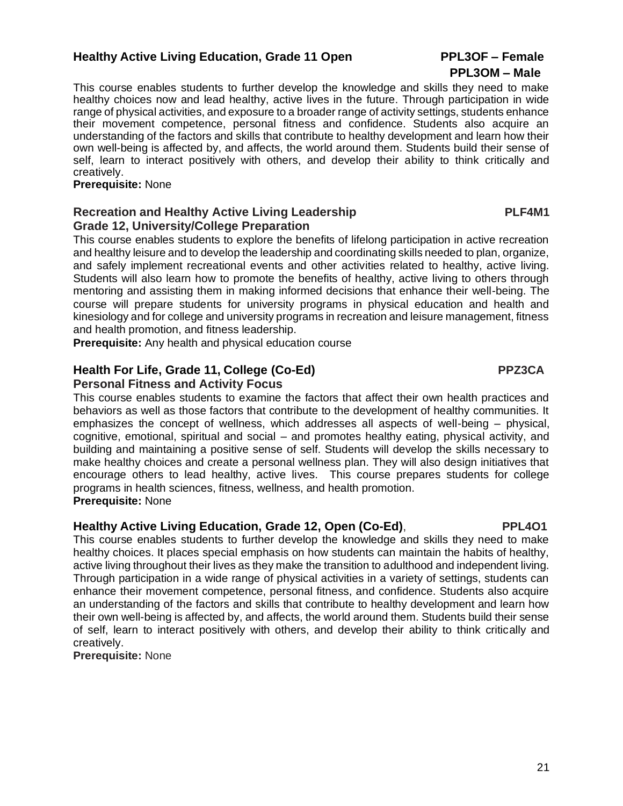### **Healthy Active Living Education, Grade 11 Open PPL3OF – Female**

### This course enables students to further develop the knowledge and skills they need to make healthy choices now and lead healthy, active lives in the future. Through participation in wide range of physical activities, and exposure to a broader range of activity settings, students enhance their movement competence, personal fitness and confidence. Students also acquire an understanding of the factors and skills that contribute to healthy development and learn how their own well-being is affected by, and affects, the world around them. Students build their sense of self, learn to interact positively with others, and develop their ability to think critically and creatively.

### **Prerequisite:** None

### **Recreation and Healthy Active Living Leadership PLF4M1 Grade 12, University/College Preparation**

This course enables students to explore the benefits of lifelong participation in active recreation and healthy leisure and to develop the leadership and coordinating skills needed to plan, organize, and safely implement recreational events and other activities related to healthy, active living. Students will also learn how to promote the benefits of healthy, active living to others through mentoring and assisting them in making informed decisions that enhance their well-being. The course will prepare students for university programs in physical education and health and kinesiology and for college and university programs in recreation and leisure management, fitness and health promotion, and fitness leadership.

**Prerequisite:** Any health and physical education course

# **Health For Life, Grade 11, College (Co-Ed) PPZ3CA**

### **Personal Fitness and Activity Focus**

This course enables students to examine the factors that affect their own health practices and behaviors as well as those factors that contribute to the development of healthy communities. It emphasizes the concept of wellness, which addresses all aspects of well-being – physical, cognitive, emotional, spiritual and social – and promotes healthy eating, physical activity, and building and maintaining a positive sense of self. Students will develop the skills necessary to make healthy choices and create a personal wellness plan. They will also design initiatives that encourage others to lead healthy, active lives. This course prepares students for college programs in health sciences, fitness, wellness, and health promotion. **Prerequisite:** None

### **Healthy Active Living Education, Grade 12, Open (Co-Ed)**, **PPL4O1**

This course enables students to further develop the knowledge and skills they need to make healthy choices. It places special emphasis on how students can maintain the habits of healthy, active living throughout their lives as they make the transition to adulthood and independent living. Through participation in a wide range of physical activities in a variety of settings, students can enhance their movement competence, personal fitness, and confidence. Students also acquire an understanding of the factors and skills that contribute to healthy development and learn how their own well-being is affected by, and affects, the world around them. Students build their sense of self, learn to interact positively with others, and develop their ability to think critically and creatively.

**Prerequisite:** None

# **PPL3OM – Male**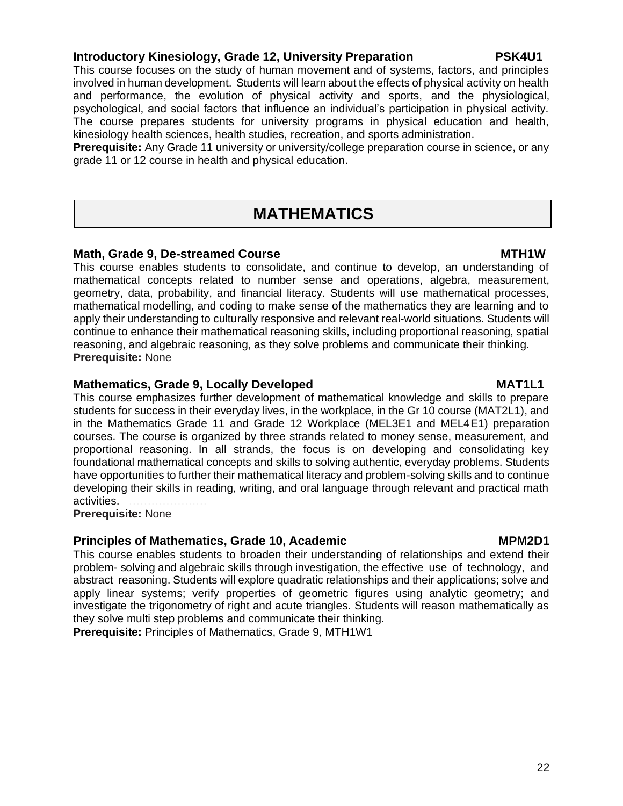### **Introductory Kinesiology, Grade 12, University Preparation PSK4U1**

This course focuses on the study of human movement and of systems, factors, and principles involved in human development. Students will learn about the effects of physical activity on health and performance, the evolution of physical activity and sports, and the physiological, psychological, and social factors that influence an individual's participation in physical activity. The course prepares students for university programs in physical education and health, kinesiology health sciences, health studies, recreation, and sports administration.

**Prerequisite:** Any Grade 11 university or university/college preparation course in science, or any grade 11 or 12 course in health and physical education.

# **MATHEMATICS**

### **Math, Grade 9, De-streamed Course MTH1W**

This course enables students to consolidate, and continue to develop, an understanding of mathematical concepts related to number sense and operations, algebra, measurement, geometry, data, probability, and financial literacy. Students will use mathematical processes, mathematical modelling, and coding to make sense of the mathematics they are learning and to apply their understanding to culturally responsive and relevant real-world situations. Students will continue to enhance their mathematical reasoning skills, including proportional reasoning, spatial reasoning, and algebraic reasoning, as they solve problems and communicate their thinking. **Prerequisite:** None

### **Mathematics, Grade 9, Locally Developed MAT1L1**

This course emphasizes further development of mathematical knowledge and skills to prepare students for success in their everyday lives, in the workplace, in the Gr 10 course (MAT2L1), and in the Mathematics Grade 11 and Grade 12 Workplace (MEL3E1 and MEL4E1) preparation courses. The course is organized by three strands related to money sense, measurement, and proportional reasoning. In all strands, the focus is on developing and consolidating key foundational mathematical concepts and skills to solving authentic, everyday problems. Students have opportunities to further their mathematical literacy and problem-solving skills and to continue developing their skills in reading, writing, and oral language through relevant and practical math activities. …………………

**Prerequisite:** None

### **Principles of Mathematics, Grade 10, Academic MPM2D1**

This course enables students to broaden their understanding of relationships and extend their problem- solving and algebraic skills through investigation, the effective use of technology, and abstract reasoning. Students will explore quadratic relationships and their applications; solve and apply linear systems; verify properties of geometric figures using analytic geometry; and investigate the trigonometry of right and acute triangles. Students will reason mathematically as they solve multi step problems and communicate their thinking.

**Prerequisite:** Principles of Mathematics, Grade 9, MTH1W1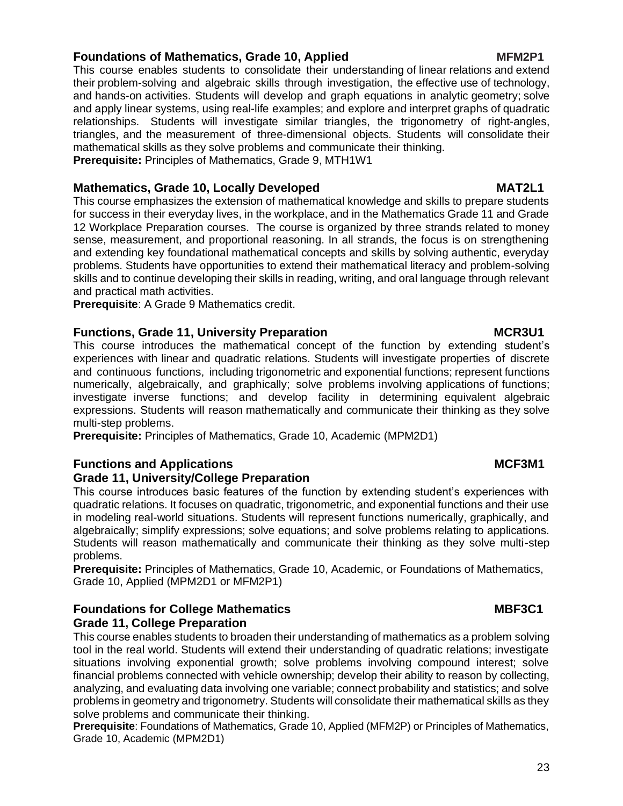### **Foundations of Mathematics, Grade 10, Applied MFM2P1**

This course enables students to consolidate their understanding of linear relations and extend their problem-solving and algebraic skills through investigation, the effective use of technology, and hands-on activities. Students will develop and graph equations in analytic geometry; solve and apply linear systems, using real-life examples; and explore and interpret graphs of quadratic relationships. Students will investigate similar triangles, the trigonometry of right-angles, triangles, and the measurement of three-dimensional objects. Students will consolidate their mathematical skills as they solve problems and communicate their thinking. **Prerequisite:** Principles of Mathematics, Grade 9, MTH1W1

### **Mathematics, Grade 10, Locally Developed MAT2L1**

This course emphasizes the extension of mathematical knowledge and skills to prepare students for success in their everyday lives, in the workplace, and in the Mathematics Grade 11 and Grade 12 Workplace Preparation courses. The course is organized by three strands related to money sense, measurement, and proportional reasoning. In all strands, the focus is on strengthening and extending key foundational mathematical concepts and skills by solving authentic, everyday problems. Students have opportunities to extend their mathematical literacy and problem-solving skills and to continue developing their skills in reading, writing, and oral language through relevant and practical math activities.

**Prerequisite**: A Grade 9 Mathematics credit.

### **Functions, Grade 11, University Preparation MCR3U1**

This course introduces the mathematical concept of the function by extending student's experiences with linear and quadratic relations. Students will investigate properties of discrete and continuous functions, including trigonometric and exponential functions; represent functions numerically, algebraically, and graphically; solve problems involving applications of functions; investigate inverse functions; and develop facility in determining equivalent algebraic expressions. Students will reason mathematically and communicate their thinking as they solve multi-step problems.

**Prerequisite:** Principles of Mathematics, Grade 10, Academic (MPM2D1)

### **Functions and Applications MCF3M1**

### **Grade 11, University/College Preparation**

This course introduces basic features of the function by extending student's experiences with quadratic relations. It focuses on quadratic, trigonometric, and exponential functions and their use in modeling real-world situations. Students will represent functions numerically, graphically, and algebraically; simplify expressions; solve equations; and solve problems relating to applications. Students will reason mathematically and communicate their thinking as they solve multi-step problems.

**Prerequisite:** Principles of Mathematics, Grade 10, Academic, or Foundations of Mathematics, Grade 10, Applied (MPM2D1 or MFM2P1)

### **Foundations for College Mathematics MBF3C1 Grade 11, College Preparation**

This course enables students to broaden their understanding of mathematics as a problem solving tool in the real world. Students will extend their understanding of quadratic relations; investigate situations involving exponential growth; solve problems involving compound interest; solve financial problems connected with vehicle ownership; develop their ability to reason by collecting, analyzing, and evaluating data involving one variable; connect probability and statistics; and solve problems in geometry and trigonometry. Students will consolidate their mathematical skills as they solve problems and communicate their thinking.

**Prerequisite**: Foundations of Mathematics, Grade 10, Applied (MFM2P) or Principles of Mathematics, Grade 10, Academic (MPM2D1)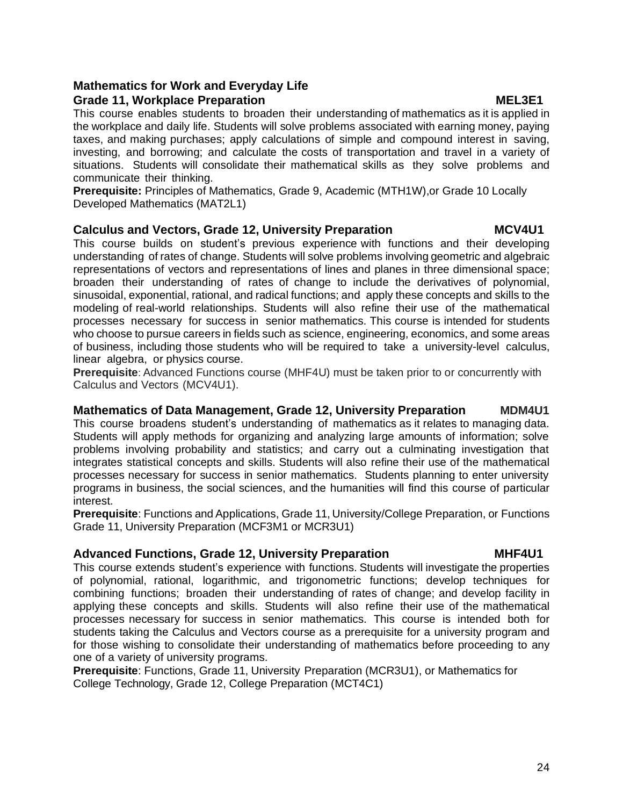### **Mathematics for Work and Everyday Life Grade 11, Workplace Preparation MEL3E1**

This course enables students to broaden their understanding of mathematics as it is applied in the workplace and daily life. Students will solve problems associated with earning money, paying taxes, and making purchases; apply calculations of simple and compound interest in saving, investing, and borrowing; and calculate the costs of transportation and travel in a variety of situations. Students will consolidate their mathematical skills as they solve problems and communicate their thinking.

**Prerequisite:** Principles of Mathematics, Grade 9, Academic (MTH1W),or Grade 10 Locally Developed Mathematics (MAT2L1)

### **Calculus and Vectors, Grade 12, University Preparation MCV4U1**

This course builds on student's previous experience with functions and their developing understanding of rates of change. Students will solve problems involving geometric and algebraic representations of vectors and representations of lines and planes in three dimensional space; broaden their understanding of rates of change to include the derivatives of polynomial, sinusoidal, exponential, rational, and radical functions; and apply these concepts and skills to the modeling of real-world relationships. Students will also refine their use of the mathematical processes necessary for success in senior mathematics. This course is intended for students who choose to pursue careers in fields such as science, engineering, economics, and some areas of business, including those students who will be required to take a university-level calculus, linear algebra, or physics course.

**Prerequisite**: Advanced Functions course (MHF4U) must be taken prior to or concurrently with Calculus and Vectors (MCV4U1).

### **Mathematics of Data Management, Grade 12, University Preparation MDM4U1**

This course broadens student's understanding of mathematics as it relates to managing data. Students will apply methods for organizing and analyzing large amounts of information; solve problems involving probability and statistics; and carry out a culminating investigation that integrates statistical concepts and skills. Students will also refine their use of the mathematical processes necessary for success in senior mathematics. Students planning to enter university programs in business, the social sciences, and the humanities will find this course of particular interest.

**Prerequisite**: Functions and Applications, Grade 11, University/College Preparation, or Functions Grade 11, University Preparation (MCF3M1 or MCR3U1)

### **Advanced Functions, Grade 12, University Preparation MHF4U1**

This course extends student's experience with functions. Students will investigate the properties of polynomial, rational, logarithmic, and trigonometric functions; develop techniques for combining functions; broaden their understanding of rates of change; and develop facility in applying these concepts and skills. Students will also refine their use of the mathematical processes necessary for success in senior mathematics. This course is intended both for students taking the Calculus and Vectors course as a prerequisite for a university program and for those wishing to consolidate their understanding of mathematics before proceeding to any one of a variety of university programs. …

**Prerequisite**: Functions, Grade 11, University Preparation (MCR3U1), or Mathematics for College Technology, Grade 12, College Preparation (MCT4C1)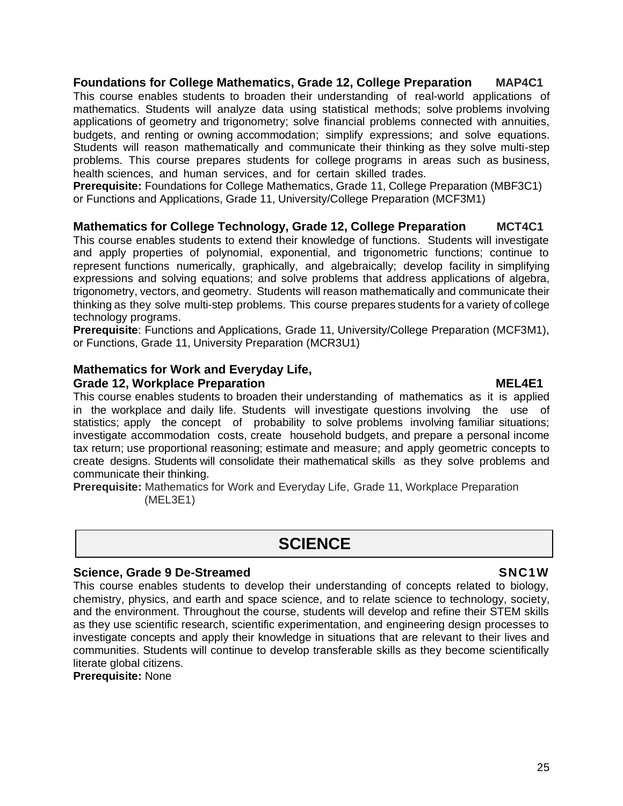### **Foundations for College Mathematics, Grade 12, College Preparation MAP4C1**

This course enables students to broaden their understanding of real-world applications of mathematics. Students will analyze data using statistical methods; solve problems involving applications of geometry and trigonometry; solve financial problems connected with annuities, budgets, and renting or owning accommodation; simplify expressions; and solve equations. Students will reason mathematically and communicate their thinking as they solve multi-step problems. This course prepares students for college programs in areas such as business, health sciences, and human services, and for certain skilled trades.

**Prerequisite:** Foundations for College Mathematics, Grade 11, College Preparation (MBF3C1) or Functions and Applications, Grade 11, University/College Preparation (MCF3M1)

### **Mathematics for College Technology, Grade 12, College Preparation MCT4C1**

This course enables students to extend their knowledge of functions. Students will investigate and apply properties of polynomial, exponential, and trigonometric functions; continue to represent functions numerically, graphically, and algebraically; develop facility in simplifying expressions and solving equations; and solve problems that address applications of algebra, trigonometry, vectors, and geometry. Students will reason mathematically and communicate their thinking as they solve multi-step problems. This course prepares students for a variety of college technology programs.

**Prerequisite**: Functions and Applications, Grade 11, University/College Preparation (MCF3M1), or Functions, Grade 11, University Preparation (MCR3U1)

## **Mathematics for Work and Everyday Life,**

### **Grade 12, Workplace Preparation MEL4E1**

This course enables students to broaden their understanding of mathematics as it is applied in the workplace and daily life. Students will investigate questions involving the use of statistics; apply the concept of probability to solve problems involving familiar situations; investigate accommodation costs, create household budgets, and prepare a personal income tax return; use proportional reasoning; estimate and measure; and apply geometric concepts to create designs. Students will consolidate their mathematical skills as they solve problems and communicate their thinking.

**Prerequisite:** Mathematics for Work and Everyday Life, Grade 11, Workplace Preparation (MEL3E1)

# **SCIENCE**

### **Science, Grade 9 De-Streamed SNC1W**

This course enables students to develop their understanding of concepts related to biology, chemistry, physics, and earth and space science, and to relate science to technology, society, and the environment. Throughout the course, students will develop and refine their STEM skills as they use scientific research, scientific experimentation, and engineering design processes to investigate concepts and apply their knowledge in situations that are relevant to their lives and communities. Students will continue to develop transferable skills as they become scientifically literate global citizens.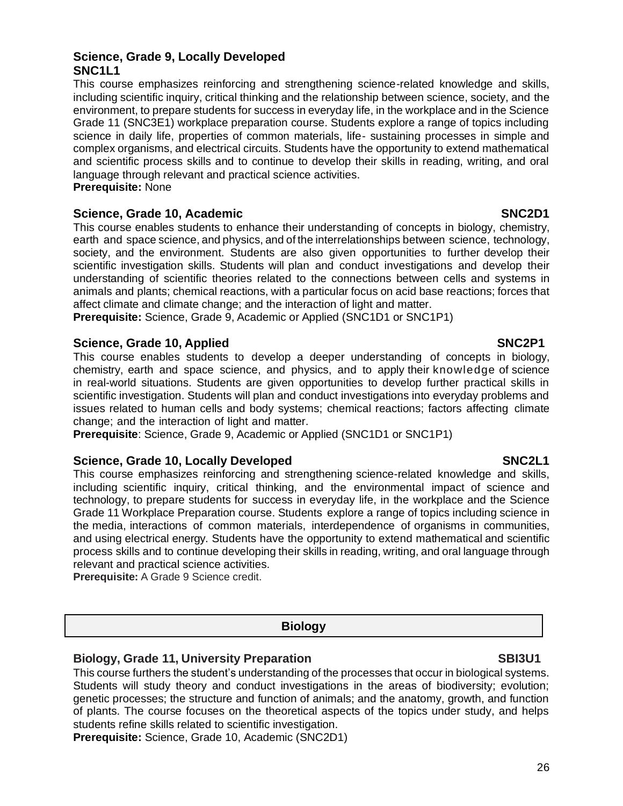26

### **Science, Grade 9, Locally Developed SNC1L1**

This course emphasizes reinforcing and strengthening science-related knowledge and skills, including scientific inquiry, critical thinking and the relationship between science, society, and the environment, to prepare students for success in everyday life, in the workplace and in the Science Grade 11 (SNC3E1) workplace preparation course. Students explore a range of topics including science in daily life, properties of common materials, life- sustaining processes in simple and complex organisms, and electrical circuits. Students have the opportunity to extend mathematical and scientific process skills and to continue to develop their skills in reading, writing, and oral language through relevant and practical science activities. **Prerequisite:** None

### **Science, Grade 10, Academic SNC2D1 3NC2D1**

This course enables students to enhance their understanding of concepts in biology, chemistry, earth and space science, and physics, and of the interrelationships between science, technology, society, and the environment. Students are also given opportunities to further develop their scientific investigation skills. Students will plan and conduct investigations and develop their understanding of scientific theories related to the connections between cells and systems in animals and plants; chemical reactions, with a particular focus on acid base reactions; forces that affect climate and climate change; and the interaction of light and matter.

**Prerequisite:** Science, Grade 9, Academic or Applied (SNC1D1 or SNC1P1)

### **Science, Grade 10, Applied SNC2P1**

This course enables students to develop a deeper understanding of concepts in biology, chemistry, earth and space science, and physics, and to apply their knowledge of science in real-world situations. Students are given opportunities to develop further practical skills in scientific investigation. Students will plan and conduct investigations into everyday problems and issues related to human cells and body systems; chemical reactions; factors affecting climate change; and the interaction of light and matter.

**Prerequisite**: Science, Grade 9, Academic or Applied (SNC1D1 or SNC1P1)

### **Science, Grade 10, Locally Developed SNC2L1 3. In the SNC2L1 SNC2L1**

This course emphasizes reinforcing and strengthening science-related knowledge and skills, including scientific inquiry, critical thinking, and the environmental impact of science and technology, to prepare students for success in everyday life, in the workplace and the Science Grade 11 Workplace Preparation course. Students explore a range of topics including science in the media, interactions of common materials, interdependence of organisms in communities, and using electrical energy. Students have the opportunity to extend mathematical and scientific process skills and to continue developing their skills in reading, writing, and oral language through relevant and practical science activities.

**Prerequisite:** A Grade 9 Science credit.

### **Biology**

### **Biology, Grade 11, University Preparation SBI3U1**

This course furthers the student's understanding of the processes that occur in biological systems. Students will study theory and conduct investigations in the areas of biodiversity; evolution; genetic processes; the structure and function of animals; and the anatomy, growth, and function of plants. The course focuses on the theoretical aspects of the topics under study, and helps students refine skills related to scientific investigation.

**Prerequisite:** Science, Grade 10, Academic (SNC2D1)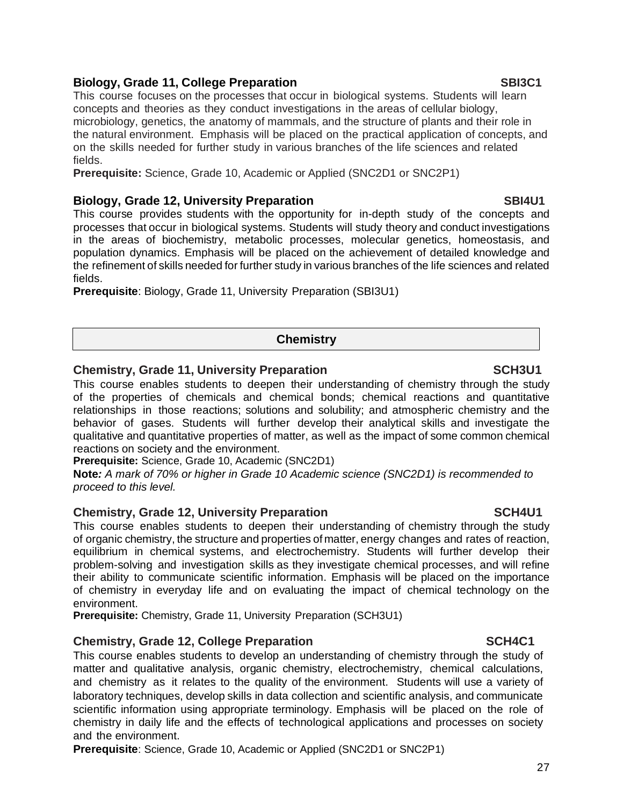### **Biology, Grade 11, College Preparation SBI3C1**

This course focuses on the processes that occur in biological systems. Students will learn concepts and theories as they conduct investigations in the areas of cellular biology, microbiology, genetics, the anatomy of mammals, and the structure of plants and their role in the natural environment. Emphasis will be placed on the practical application of concepts, and on the skills needed for further study in various branches of the life sciences and related fields.

**Prerequisite:** Science, Grade 10, Academic or Applied (SNC2D1 or SNC2P1)

### **Biology, Grade 12, University Preparation <b>According to the SBI4U1** SBI4U1

This course provides students with the opportunity for in-depth study of the concepts and processes that occur in biological systems. Students will study theory and conduct investigations in the areas of biochemistry, metabolic processes, molecular genetics, homeostasis, and population dynamics. Emphasis will be placed on the achievement of detailed knowledge and the refinement of skills needed for further study in various branches of the life sciences and related fields.

**Prerequisite**: Biology, Grade 11, University Preparation (SBI3U1)

### **Chemistry**

### **Chemistry, Grade 11, University Preparation SCH3U1**

This course enables students to deepen their understanding of chemistry through the study of the properties of chemicals and chemical bonds; chemical reactions and quantitative relationships in those reactions; solutions and solubility; and atmospheric chemistry and the behavior of gases. Students will further develop their analytical skills and investigate the qualitative and quantitative properties of matter, as well as the impact of some common chemical reactions on society and the environment.

**Prerequisite:** Science, Grade 10, Academic (SNC2D1)

**Note***: A mark of 70% or higher in Grade 10 Academic science (SNC2D1) is recommended to proceed to this level.*

### **Chemistry, Grade 12, University Preparation SCH4U1**

This course enables students to deepen their understanding of chemistry through the study of organic chemistry, the structure and properties of matter, energy changes and rates of reaction, equilibrium in chemical systems, and electrochemistry. Students will further develop their problem-solving and investigation skills as they investigate chemical processes, and will refine their ability to communicate scientific information. Emphasis will be placed on the importance of chemistry in everyday life and on evaluating the impact of chemical technology on the environment.

**Prerequisite:** Chemistry, Grade 11, University Preparation (SCH3U1)

### **Chemistry, Grade 12, College Preparation SCH4C1**

This course enables students to develop an understanding of chemistry through the study of matter and qualitative analysis, organic chemistry, electrochemistry, chemical calculations, and chemistry as it relates to the quality of the environment. Students will use a variety of laboratory techniques, develop skills in data collection and scientific analysis, and communicate scientific information using appropriate terminology. Emphasis will be placed on the role of chemistry in daily life and the effects of technological applications and processes on society and the environment.

**Prerequisite**: Science, Grade 10, Academic or Applied (SNC2D1 or SNC2P1)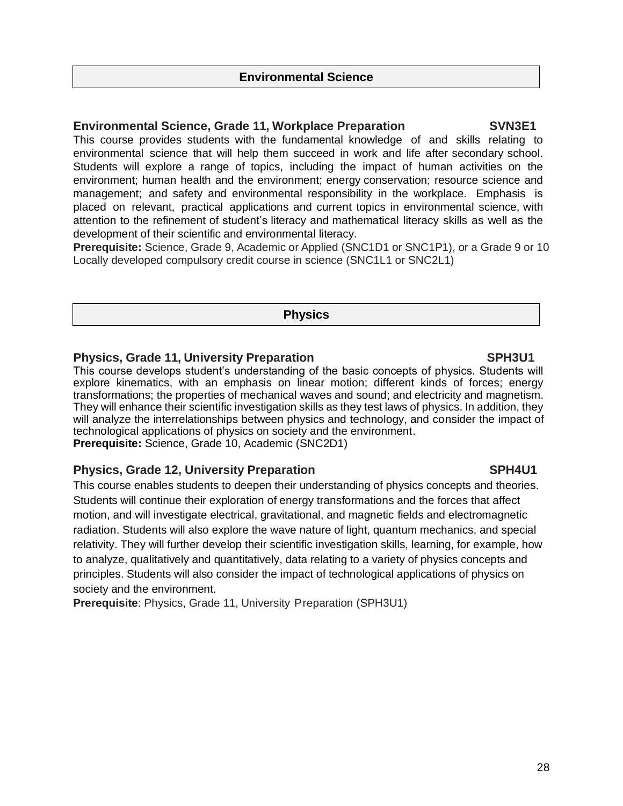### **Environmental Science**

### **Environmental Science, Grade 11, Workplace Preparation SVN3E1**

This course provides students with the fundamental knowledge of and skills relating to environmental science that will help them succeed in work and life after secondary school. Students will explore a range of topics, including the impact of human activities on the environment; human health and the environment; energy conservation; resource science and management; and safety and environmental responsibility in the workplace. Emphasis is placed on relevant, practical applications and current topics in environmental science, with attention to the refinement of student's literacy and mathematical literacy skills as well as the development of their scientific and environmental literacy.

**Prerequisite:** Science, Grade 9, Academic or Applied (SNC1D1 or SNC1P1), or a Grade 9 or 10 Locally developed compulsory credit course in science (SNC1L1 or SNC2L1)

### **Physics**

### **Physics, Grade 11, University Preparation Mateural SPH3U1**

This course develops student's understanding of the basic concepts of physics. Students will explore kinematics, with an emphasis on linear motion; different kinds of forces; energy transformations; the properties of mechanical waves and sound; and electricity and magnetism. They will enhance their scientific investigation skills as they test laws of physics. In addition, they will analyze the interrelationships between physics and technology, and consider the impact of technological applications of physics on society and the environment. **Prerequisite:** Science, Grade 10, Academic (SNC2D1)

### **Physics, Grade 12, University Preparation SPH4U1**

This course enables students to deepen their understanding of physics concepts and theories. Students will continue their exploration of energy transformations and the forces that affect motion, and will investigate electrical, gravitational, and magnetic fields and electromagnetic radiation. Students will also explore the wave nature of light, quantum mechanics, and special relativity. They will further develop their scientific investigation skills, learning, for example, how to analyze, qualitatively and quantitatively, data relating to a variety of physics concepts and principles. Students will also consider the impact of technological applications of physics on society and the environment.

**Prerequisite**: Physics, Grade 11, University Preparation (SPH3U1)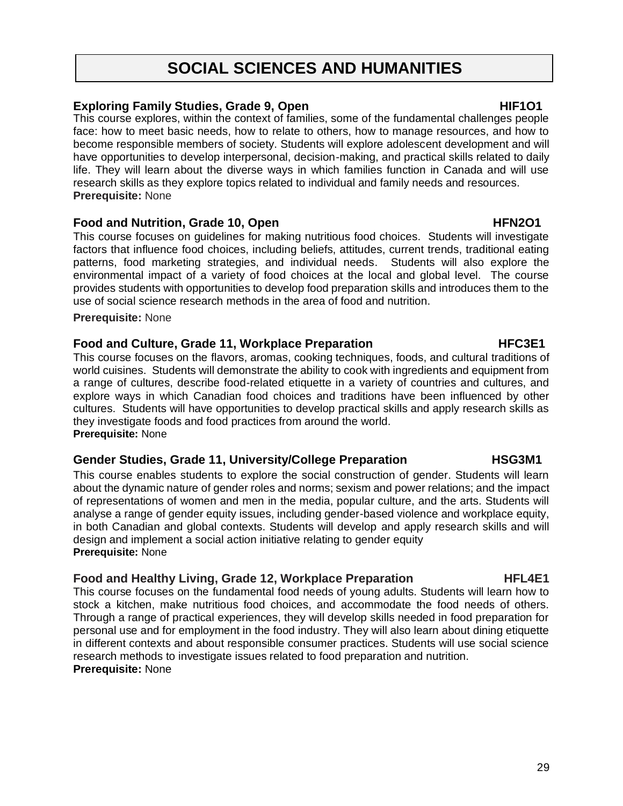# **SOCIAL SCIENCES AND HUMANITIES**

### **Exploring Family Studies, Grade 9, Open HIF1O1**

This course explores, within the context of families, some of the fundamental challenges people face: how to meet basic needs, how to relate to others, how to manage resources, and how to become responsible members of society. Students will explore adolescent development and will have opportunities to develop interpersonal, decision-making, and practical skills related to daily life. They will learn about the diverse ways in which families function in Canada and will use research skills as they explore topics related to individual and family needs and resources. **Prerequisite:** None

### Food and Nutrition, Grade 10, Open **HFN2O1**

This course focuses on guidelines for making nutritious food choices. Students will investigate factors that influence food choices, including beliefs, attitudes, current trends, traditional eating patterns, food marketing strategies, and individual needs. Students will also explore the environmental impact of a variety of food choices at the local and global level. The course provides students with opportunities to develop food preparation skills and introduces them to the use of social science research methods in the area of food and nutrition.

**Prerequisite:** None

### Food and Culture, Grade 11, Workplace Preparation **HEC3E1**

This course focuses on the flavors, aromas, cooking techniques, foods, and cultural traditions of world cuisines. Students will demonstrate the ability to cook with ingredients and equipment from a range of cultures, describe food-related etiquette in a variety of countries and cultures, and explore ways in which Canadian food choices and traditions have been influenced by other cultures. Students will have opportunities to develop practical skills and apply research skills as they investigate foods and food practices from around the world. **Prerequisite:** None

### **Gender Studies, Grade 11, University/College Preparation HSG3M1**

This course enables students to explore the social construction of gender. Students will learn about the dynamic nature of gender roles and norms; sexism and power relations; and the impact of representations of women and men in the media, popular culture, and the arts. Students will analyse a range of gender equity issues, including gender-based violence and workplace equity, in both Canadian and global contexts. Students will develop and apply research skills and will design and implement a social action initiative relating to gender equity **Prerequisite:** None

### **Food and Healthy Living, Grade 12, Workplace Preparation FIGULE HTL4E1**

This course focuses on the fundamental food needs of young adults. Students will learn how to stock a kitchen, make nutritious food choices, and accommodate the food needs of others. Through a range of practical experiences, they will develop skills needed in food preparation for personal use and for employment in the food industry. They will also learn about dining etiquette in different contexts and about responsible consumer practices. Students will use social science research methods to investigate issues related to food preparation and nutrition. **Prerequisite:** None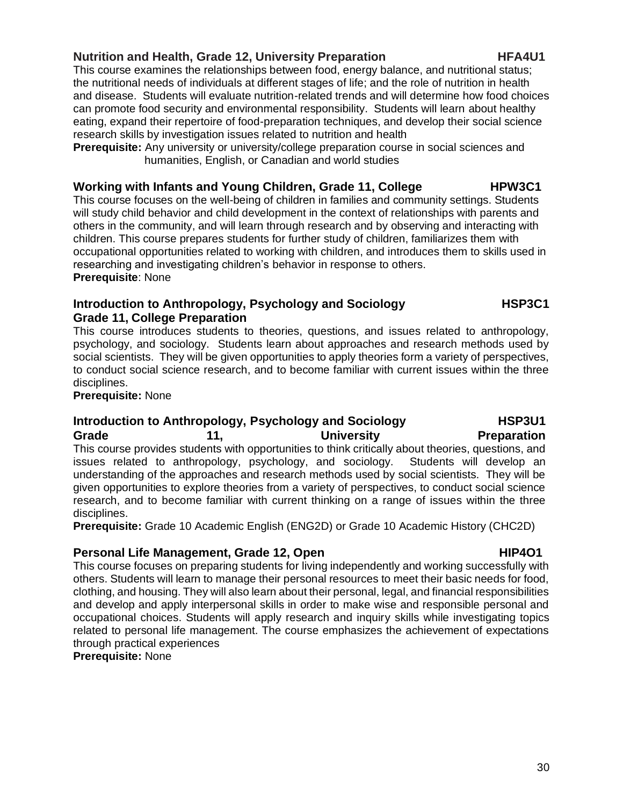### **Nutrition and Health, Grade 12, University Preparation Frame Constructs HTA4U1**

This course examines the relationships between food, energy balance, and nutritional status; the nutritional needs of individuals at different stages of life; and the role of nutrition in health and disease. Students will evaluate nutrition-related trends and will determine how food choices can promote food security and environmental responsibility. Students will learn about healthy eating, expand their repertoire of food-preparation techniques, and develop their social science research skills by investigation issues related to nutrition and health

**Prerequisite:** Any university or university/college preparation course in social sciences and humanities, English, or Canadian and world studies

### Working with Infants and Young Children, Grade 11, College **HPW3C1**

This course focuses on the well-being of children in families and community settings. Students will study child behavior and child development in the context of relationships with parents and others in the community, and will learn through research and by observing and interacting with children. This course prepares students for further study of children, familiarizes them with occupational opportunities related to working with children, and introduces them to skills used in researching and investigating children's behavior in response to others. **Prerequisite**: None

### **Introduction to Anthropology, Psychology and Sociology HSP3C1 Grade 11, College Preparation**

This course introduces students to theories, questions, and issues related to anthropology, psychology, and sociology. Students learn about approaches and research methods used by social scientists. They will be given opportunities to apply theories form a variety of perspectives, to conduct social science research, and to become familiar with current issues within the three disciplines.

**Prerequisite:** None

### **Introduction to Anthropology, Psychology and Sociology HSP3U1**

### **Grade 11, University Preparation** This course provides students with opportunities to think critically about theories, questions, and issues related to anthropology, psychology, and sociology. Students will develop an understanding of the approaches and research methods used by social scientists. They will be given opportunities to explore theories from a variety of perspectives, to conduct social science research, and to become familiar with current thinking on a range of issues within the three disciplines.

**Prerequisite:** Grade 10 Academic English (ENG2D) or Grade 10 Academic History (CHC2D)

### **Personal Life Management, Grade 12, Open HIP4O1 HIP4O1**

This course focuses on preparing students for living independently and working successfully with others. Students will learn to manage their personal resources to meet their basic needs for food, clothing, and housing. They will also learn about their personal, legal, and financial responsibilities and develop and apply interpersonal skills in order to make wise and responsible personal and occupational choices. Students will apply research and inquiry skills while investigating topics related to personal life management. The course emphasizes the achievement of expectations through practical experiences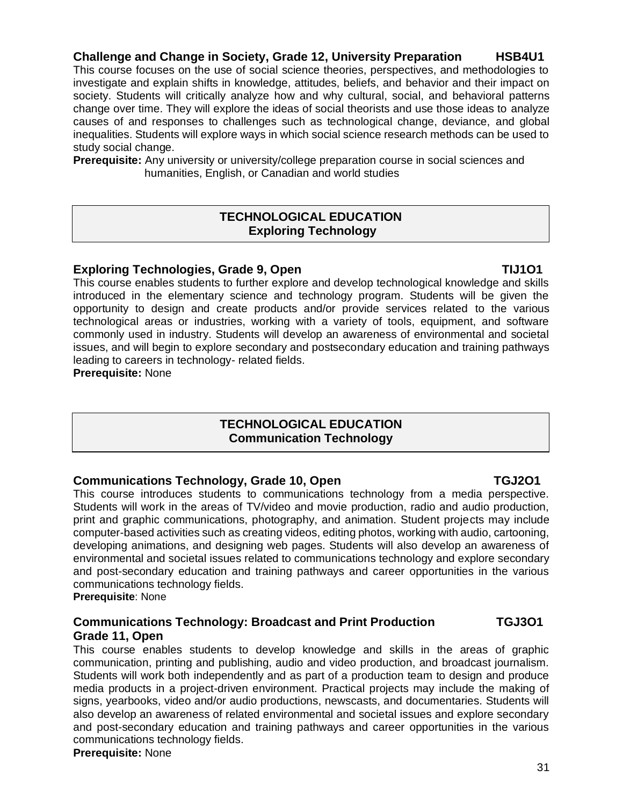### **Challenge and Change in Society, Grade 12, University Preparation HSB4U1**

This course focuses on the use of social science theories, perspectives, and methodologies to investigate and explain shifts in knowledge, attitudes, beliefs, and behavior and their impact on society. Students will critically analyze how and why cultural, social, and behavioral patterns change over time. They will explore the ideas of social theorists and use those ideas to analyze causes of and responses to challenges such as technological change, deviance, and global inequalities. Students will explore ways in which social science research methods can be used to study social change.

**Prerequisite:** Any university or university/college preparation course in social sciences and humanities, English, or Canadian and world studies

### **TECHNOLOGICAL EDUCATION Exploring Technology**

### **Exploring Technologies, Grade 9, Open TIMPS Exploring TIMP1**

This course enables students to further explore and develop technological knowledge and skills introduced in the elementary science and technology program. Students will be given the opportunity to design and create products and/or provide services related to the various technological areas or industries, working with a variety of tools, equipment, and software commonly used in industry. Students will develop an awareness of environmental and societal issues, and will begin to explore secondary and postsecondary education and training pathways leading to careers in technology- related fields.

**Prerequisite:** None

### **TECHNOLOGICAL EDUCATION Communication Technology**

### **Communications Technology, Grade 10, Open TGJ2O1**

This course introduces students to communications technology from a media perspective. Students will work in the areas of TV/video and movie production, radio and audio production, print and graphic communications, photography, and animation. Student projects may include computer-based activities such as creating videos, editing photos, working with audio, cartooning, developing animations, and designing web pages. Students will also develop an awareness of environmental and societal issues related to communications technology and explore secondary and post-secondary education and training pathways and career opportunities in the various communications technology fields.

**Prerequisite**: None

### **Communications Technology: Broadcast and Print Production TGJ3O1 Grade 11, Open**

This course enables students to develop knowledge and skills in the areas of graphic communication, printing and publishing, audio and video production, and broadcast journalism. Students will work both independently and as part of a production team to design and produce media products in a project-driven environment. Practical projects may include the making of signs, yearbooks, video and/or audio productions, newscasts, and documentaries. Students will also develop an awareness of related environmental and societal issues and explore secondary and post-secondary education and training pathways and career opportunities in the various communications technology fields. **Prerequisite:** None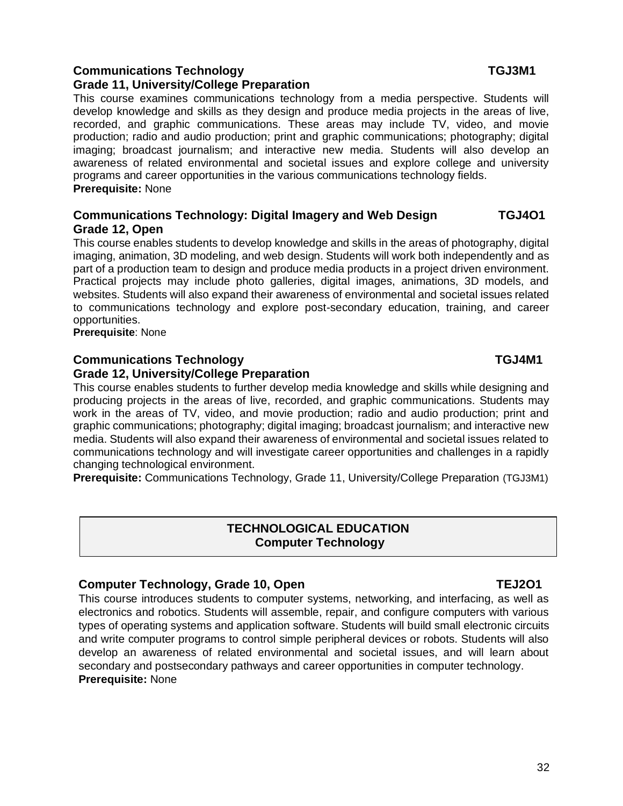### **Communications Technology TGJ3M1**

### **Grade 11, University/College Preparation**

This course examines communications technology from a media perspective. Students will develop knowledge and skills as they design and produce media projects in the areas of live, recorded, and graphic communications. These areas may include TV, video, and movie production; radio and audio production; print and graphic communications; photography; digital imaging; broadcast journalism; and interactive new media. Students will also develop an awareness of related environmental and societal issues and explore college and university programs and career opportunities in the various communications technology fields. **Prerequisite:** None

### **Communications Technology: Digital Imagery and Web Design TGJ4O1 Grade 12, Open**

This course enables students to develop knowledge and skills in the areas of photography, digital imaging, animation, 3D modeling, and web design. Students will work both independently and as part of a production team to design and produce media products in a project driven environment. Practical projects may include photo galleries, digital images, animations, 3D models, and websites. Students will also expand their awareness of environmental and societal issues related to communications technology and explore post-secondary education, training, and career opportunities.

**Prerequisite**: None

### **Communications Technology TGJ4M1**

### **Grade 12, University/College Preparation**

This course enables students to further develop media knowledge and skills while designing and producing projects in the areas of live, recorded, and graphic communications. Students may work in the areas of TV, video, and movie production; radio and audio production; print and graphic communications; photography; digital imaging; broadcast journalism; and interactive new media. Students will also expand their awareness of environmental and societal issues related to communications technology and will investigate career opportunities and challenges in a rapidly changing technological environment.

**Prerequisite:** Communications Technology, Grade 11, University/College Preparation (TGJ3M1)

### **TECHNOLOGICAL EDUCATION Computer Technology**

### **Computer Technology, Grade 10, Open TEJ2O1**

This course introduces students to computer systems, networking, and interfacing, as well as electronics and robotics. Students will assemble, repair, and configure computers with various types of operating systems and application software. Students will build small electronic circuits and write computer programs to control simple peripheral devices or robots. Students will also develop an awareness of related environmental and societal issues, and will learn about secondary and postsecondary pathways and career opportunities in computer technology. **Prerequisite:** None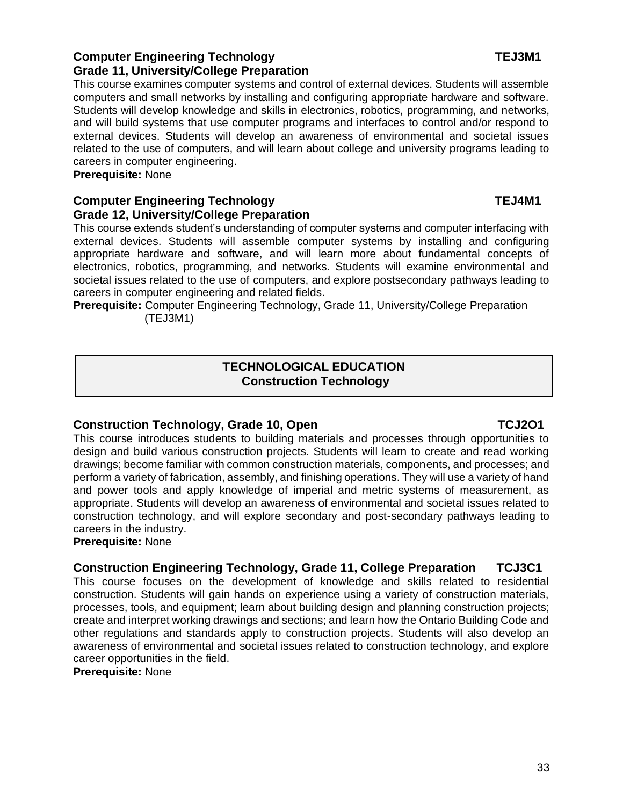### **Computer Engineering Technology Computer Engineering Technology Grade 11, University/College Preparation**

This course examines computer systems and control of external devices. Students will assemble computers and small networks by installing and configuring appropriate hardware and software. Students will develop knowledge and skills in electronics, robotics, programming, and networks, and will build systems that use computer programs and interfaces to control and/or respond to external devices. Students will develop an awareness of environmental and societal issues related to the use of computers, and will learn about college and university programs leading to careers in computer engineering.

**Prerequisite:** None

### **Computer Engineering Technology TEJ4M1 Grade 12, University/College Preparation**

This course extends student's understanding of computer systems and computer interfacing with external devices. Students will assemble computer systems by installing and configuring appropriate hardware and software, and will learn more about fundamental concepts of electronics, robotics, programming, and networks. Students will examine environmental and societal issues related to the use of computers, and explore postsecondary pathways leading to careers in computer engineering and related fields.

**Prerequisite:** Computer Engineering Technology, Grade 11, University/College Preparation (TEJ3M1)

### **TECHNOLOGICAL EDUCATION Construction Technology**

### **Construction Technology, Grade 10, Open TCJ2O1**

This course introduces students to building materials and processes through opportunities to design and build various construction projects. Students will learn to create and read working drawings; become familiar with common construction materials, components, and processes; and perform a variety of fabrication, assembly, and finishing operations. They will use a variety of hand and power tools and apply knowledge of imperial and metric systems of measurement, as appropriate. Students will develop an awareness of environmental and societal issues related to construction technology, and will explore secondary and post-secondary pathways leading to careers in the industry.

**Prerequisite:** None

### **Construction Engineering Technology, Grade 11, College Preparation TCJ3C1**

This course focuses on the development of knowledge and skills related to residential construction. Students will gain hands on experience using a variety of construction materials, processes, tools, and equipment; learn about building design and planning construction projects; create and interpret working drawings and sections; and learn how the Ontario Building Code and other regulations and standards apply to construction projects. Students will also develop an awareness of environmental and societal issues related to construction technology, and explore career opportunities in the field.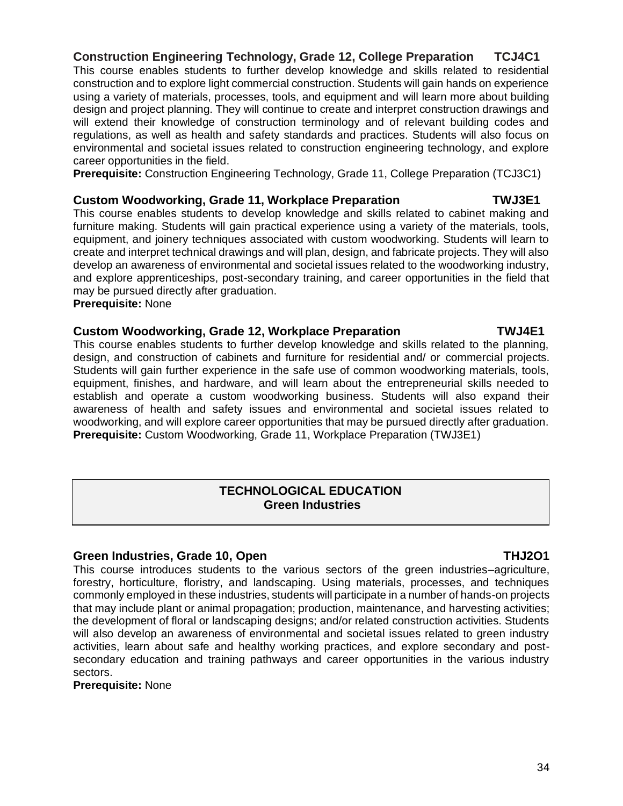### **Construction Engineering Technology, Grade 12, College Preparation TCJ4C1**

This course enables students to further develop knowledge and skills related to residential construction and to explore light commercial construction. Students will gain hands on experience using a variety of materials, processes, tools, and equipment and will learn more about building design and project planning. They will continue to create and interpret construction drawings and will extend their knowledge of construction terminology and of relevant building codes and regulations, as well as health and safety standards and practices. Students will also focus on environmental and societal issues related to construction engineering technology, and explore career opportunities in the field.

**Prerequisite:** Construction Engineering Technology, Grade 11, College Preparation (TCJ3C1)

### **Custom Woodworking, Grade 11, Workplace Preparation TWJ3E1**

This course enables students to develop knowledge and skills related to cabinet making and furniture making. Students will gain practical experience using a variety of the materials, tools, equipment, and joinery techniques associated with custom woodworking. Students will learn to create and interpret technical drawings and will plan, design, and fabricate projects. They will also develop an awareness of environmental and societal issues related to the woodworking industry, and explore apprenticeships, post-secondary training, and career opportunities in the field that may be pursued directly after graduation.

**Prerequisite:** None

### **Custom Woodworking, Grade 12, Workplace Preparation TWJ4E1**

This course enables students to further develop knowledge and skills related to the planning, design, and construction of cabinets and furniture for residential and/ or commercial projects. Students will gain further experience in the safe use of common woodworking materials, tools, equipment, finishes, and hardware, and will learn about the entrepreneurial skills needed to establish and operate a custom woodworking business. Students will also expand their awareness of health and safety issues and environmental and societal issues related to woodworking, and will explore career opportunities that may be pursued directly after graduation. **Prerequisite:** Custom Woodworking, Grade 11, Workplace Preparation (TWJ3E1)

### **TECHNOLOGICAL EDUCATION Green Industries**

### **Green Industries, Grade 10, Open THJ2O1 THJ2O1**

This course introduces students to the various sectors of the green industries–agriculture, forestry, horticulture, floristry, and landscaping. Using materials, processes, and techniques commonly employed in these industries, students will participate in a number of hands-on projects that may include plant or animal propagation; production, maintenance, and harvesting activities; the development of floral or landscaping designs; and/or related construction activities. Students will also develop an awareness of environmental and societal issues related to green industry activities, learn about safe and healthy working practices, and explore secondary and postsecondary education and training pathways and career opportunities in the various industry sectors.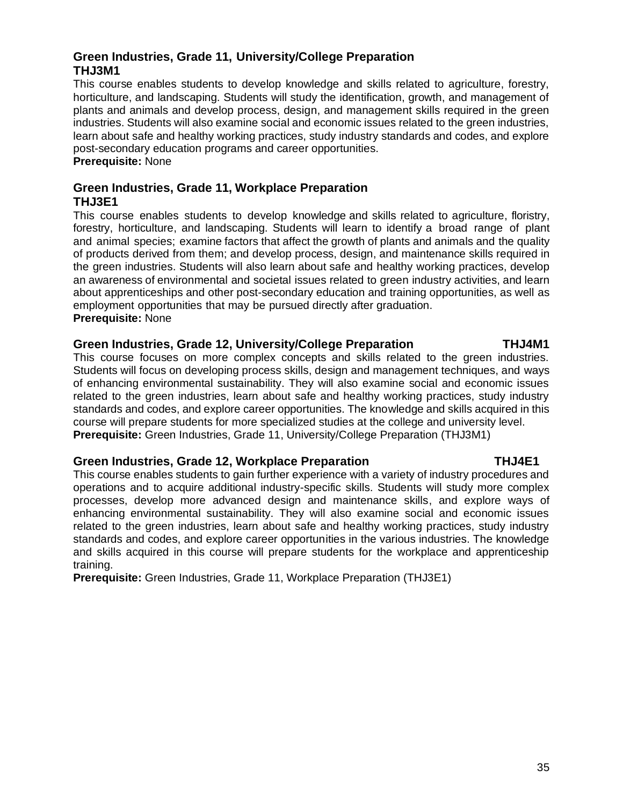### **Green Industries, Grade 11, University/College Preparation THJ3M1**

This course enables students to develop knowledge and skills related to agriculture, forestry, horticulture, and landscaping. Students will study the identification, growth, and management of plants and animals and develop process, design, and management skills required in the green industries. Students will also examine social and economic issues related to the green industries, learn about safe and healthy working practices, study industry standards and codes, and explore post-secondary education programs and career opportunities.

**Prerequisite:** None

### **Green Industries, Grade 11, Workplace Preparation THJ3E1**

This course enables students to develop knowledge and skills related to agriculture, floristry, forestry, horticulture, and landscaping. Students will learn to identify a broad range of plant and animal species; examine factors that affect the growth of plants and animals and the quality of products derived from them; and develop process, design, and maintenance skills required in the green industries. Students will also learn about safe and healthy working practices, develop an awareness of environmental and societal issues related to green industry activities, and learn about apprenticeships and other post-secondary education and training opportunities, as well as employment opportunities that may be pursued directly after graduation. **Prerequisite:** None

### **Green Industries, Grade 12, University/College Preparation THJ4M1**

### This course focuses on more complex concepts and skills related to the green industries. Students will focus on developing process skills, design and management techniques, and ways of enhancing environmental sustainability. They will also examine social and economic issues related to the green industries, learn about safe and healthy working practices, study industry standards and codes, and explore career opportunities. The knowledge and skills acquired in this course will prepare students for more specialized studies at the college and university level. **Prerequisite:** Green Industries, Grade 11, University/College Preparation (THJ3M1)

### Green Industries, Grade 12, Workplace Preparation **THJ4E1**

This course enables students to gain further experience with a variety of industry procedures and operations and to acquire additional industry-specific skills. Students will study more complex processes, develop more advanced design and maintenance skills, and explore ways of enhancing environmental sustainability. They will also examine social and economic issues related to the green industries, learn about safe and healthy working practices, study industry standards and codes, and explore career opportunities in the various industries. The knowledge and skills acquired in this course will prepare students for the workplace and apprenticeship training.

**Prerequisite:** Green Industries, Grade 11, Workplace Preparation (THJ3E1)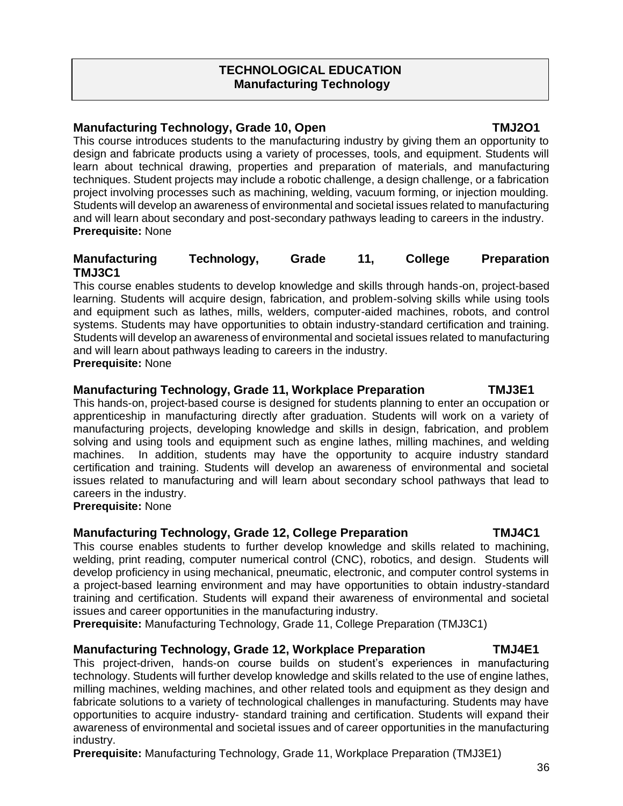### **TECHNOLOGICAL EDUCATION Manufacturing Technology**

### **Manufacturing Technology, Grade 10, Open TMJ2O1**

This course introduces students to the manufacturing industry by giving them an opportunity to design and fabricate products using a variety of processes, tools, and equipment. Students will learn about technical drawing, properties and preparation of materials, and manufacturing techniques. Student projects may include a robotic challenge, a design challenge, or a fabrication project involving processes such as machining, welding, vacuum forming, or injection moulding. Students will develop an awareness of environmental and societal issues related to manufacturing and will learn about secondary and post-secondary pathways leading to careers in the industry. **Prerequisite:** None

### **Manufacturing Technology, Grade 11, College Preparation TMJ3C1**

This course enables students to develop knowledge and skills through hands-on, project-based learning. Students will acquire design, fabrication, and problem-solving skills while using tools and equipment such as lathes, mills, welders, computer-aided machines, robots, and control systems. Students may have opportunities to obtain industry-standard certification and training. Students will develop an awareness of environmental and societal issues related to manufacturing and will learn about pathways leading to careers in the industry. **Prerequisite:** None

### **Manufacturing Technology, Grade 11, Workplace Preparation TMJ3E1**

This hands-on, project-based course is designed for students planning to enter an occupation or apprenticeship in manufacturing directly after graduation. Students will work on a variety of manufacturing projects, developing knowledge and skills in design, fabrication, and problem solving and using tools and equipment such as engine lathes, milling machines, and welding machines. In addition, students may have the opportunity to acquire industry standard certification and training. Students will develop an awareness of environmental and societal issues related to manufacturing and will learn about secondary school pathways that lead to careers in the industry.

**Prerequisite:** None

### **Manufacturing Technology, Grade 12, College Preparation TMJ4C1**

This course enables students to further develop knowledge and skills related to machining, welding, print reading, computer numerical control (CNC), robotics, and design. Students will develop proficiency in using mechanical, pneumatic, electronic, and computer control systems in a project-based learning environment and may have opportunities to obtain industry-standard training and certification. Students will expand their awareness of environmental and societal issues and career opportunities in the manufacturing industry.

**Prerequisite:** Manufacturing Technology, Grade 11, College Preparation (TMJ3C1)

### **Manufacturing Technology, Grade 12, Workplace Preparation TMJ4E1**

This project-driven, hands-on course builds on student's experiences in manufacturing technology. Students will further develop knowledge and skills related to the use of engine lathes, milling machines, welding machines, and other related tools and equipment as they design and fabricate solutions to a variety of technological challenges in manufacturing. Students may have opportunities to acquire industry- standard training and certification. Students will expand their awareness of environmental and societal issues and of career opportunities in the manufacturing industry.

**Prerequisite:** Manufacturing Technology, Grade 11, Workplace Preparation (TMJ3E1)

### 36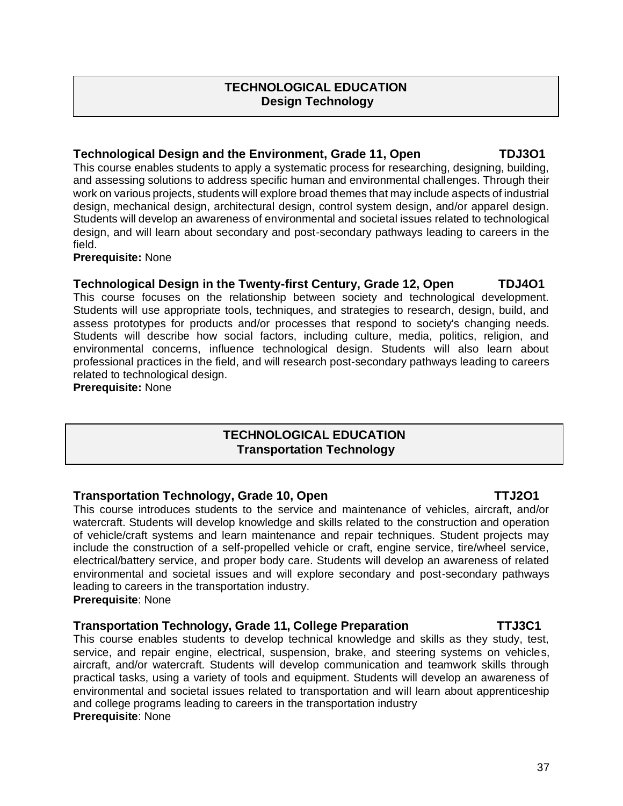### **TECHNOLOGICAL EDUCATION Design Technology**

### **Technological Design and the Environment, Grade 11, Open TDJ3O1**

This course enables students to apply a systematic process for researching, designing, building, and assessing solutions to address specific human and environmental challenges. Through their work on various projects, students will explore broad themes that may include aspects of industrial design, mechanical design, architectural design, control system design, and/or apparel design. Students will develop an awareness of environmental and societal issues related to technological design, and will learn about secondary and post-secondary pathways leading to careers in the field.

### **Prerequisite:** None

### **Technological Design in the Twenty-first Century, Grade 12, Open TDJ4O1**

This course focuses on the relationship between society and technological development. Students will use appropriate tools, techniques, and strategies to research, design, build, and assess prototypes for products and/or processes that respond to society's changing needs. Students will describe how social factors, including culture, media, politics, religion, and environmental concerns, influence technological design. Students will also learn about professional practices in the field, and will research post-secondary pathways leading to careers related to technological design.

**Prerequisite:** None

### **TECHNOLOGICAL EDUCATION Transportation Technology**

### **Transportation Technology, Grade 10, Open TTJ2O1**

This course introduces students to the service and maintenance of vehicles, aircraft, and/or watercraft. Students will develop knowledge and skills related to the construction and operation of vehicle/craft systems and learn maintenance and repair techniques. Student projects may include the construction of a self-propelled vehicle or craft, engine service, tire/wheel service, electrical/battery service, and proper body care. Students will develop an awareness of related environmental and societal issues and will explore secondary and post-secondary pathways leading to careers in the transportation industry. **Prerequisite**: None

### **Transportation Technology, Grade 11, College Preparation TTJ3C1**

This course enables students to develop technical knowledge and skills as they study, test, service, and repair engine, electrical, suspension, brake, and steering systems on vehicles, aircraft, and/or watercraft. Students will develop communication and teamwork skills through practical tasks, using a variety of tools and equipment. Students will develop an awareness of environmental and societal issues related to transportation and will learn about apprenticeship and college programs leading to careers in the transportation industry **Prerequisite**: None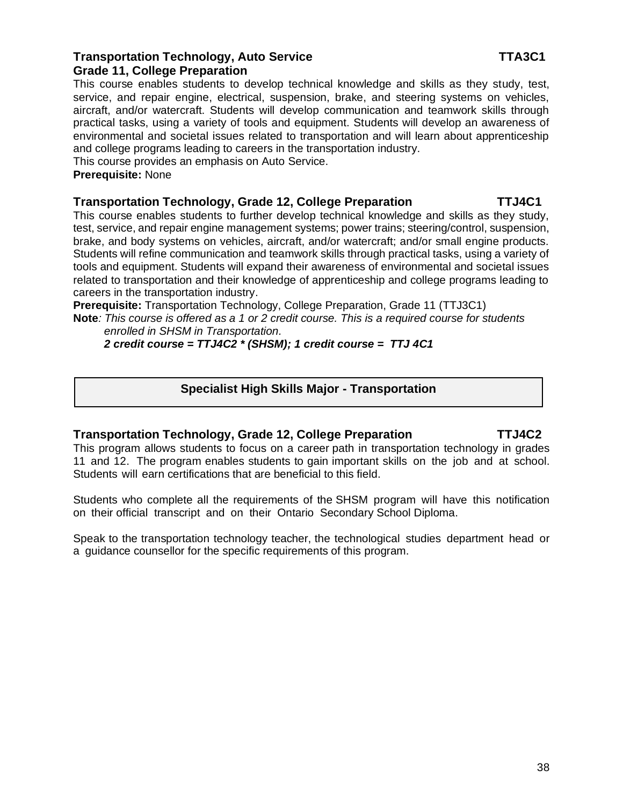### **Transportation Technology, Auto Service TTA3C1 Grade 11, College Preparation**

This course enables students to develop technical knowledge and skills as they study, test, service, and repair engine, electrical, suspension, brake, and steering systems on vehicles, aircraft, and/or watercraft. Students will develop communication and teamwork skills through practical tasks, using a variety of tools and equipment. Students will develop an awareness of environmental and societal issues related to transportation and will learn about apprenticeship and college programs leading to careers in the transportation industry.

This course provides an emphasis on Auto Service.

**Prerequisite:** None

### **Transportation Technology, Grade 12, College Preparation TTJ4C1**

This course enables students to further develop technical knowledge and skills as they study, test, service, and repair engine management systems; power trains; steering/control, suspension, brake, and body systems on vehicles, aircraft, and/or watercraft; and/or small engine products. Students will refine communication and teamwork skills through practical tasks, using a variety of tools and equipment. Students will expand their awareness of environmental and societal issues related to transportation and their knowledge of apprenticeship and college programs leading to careers in the transportation industry.

**Prerequisite:** Transportation Technology, College Preparation, Grade 11 (TTJ3C1)

**Note***: This course is offered as a 1 or 2 credit course. This is a required course for students enrolled in SHSM in Transportation.*

 *2 credit course = TTJ4C2 \* (SHSM); 1 credit course = TTJ 4C1*

### **Specialist High Skills Major - Transportation**

### **Transportation Technology, Grade 12, College Preparation TTJ4C2**

This program allows students to focus on a career path in transportation technology in grades 11 and 12. The program enables students to gain important skills on the job and at school. Students will earn certifications that are beneficial to this field.

Students who complete all the requirements of the SHSM program will have this notification on their official transcript and on their Ontario Secondary School Diploma.

Speak to the transportation technology teacher, the technological studies department head or a guidance counsellor for the specific requirements of this program.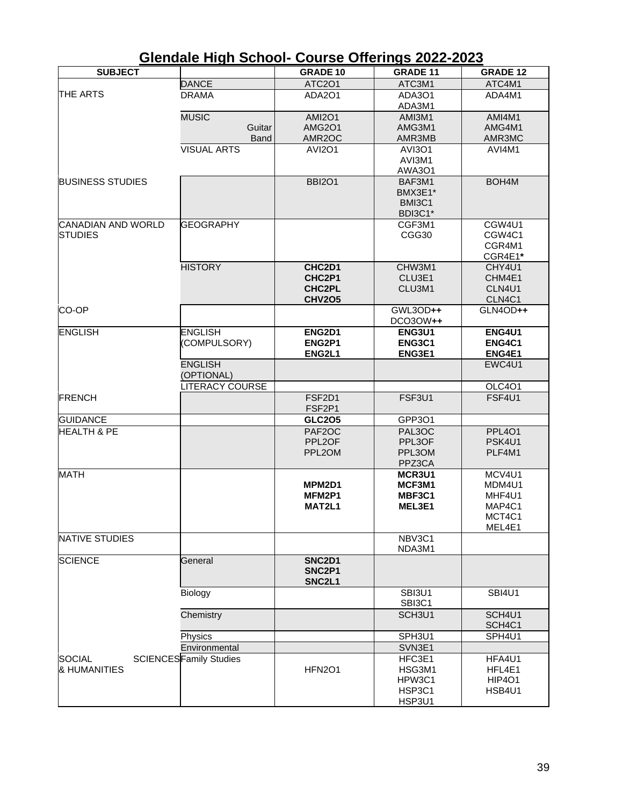|                           | טטווטט וועוו סטווטטו           |                  | <b>UUUI JE UIIEI IIIYJ LULL-LULU</b> |                    |
|---------------------------|--------------------------------|------------------|--------------------------------------|--------------------|
| <b>SUBJECT</b>            |                                | <b>GRADE 10</b>  | <b>GRADE 11</b>                      | <b>GRADE 12</b>    |
|                           | <b>DANCE</b>                   | <b>ATC2O1</b>    | ATC3M1                               | ATC4M1             |
| <b>THE ARTS</b>           | <b>DRAMA</b>                   | ADA2O1           | ADA3O1                               | ADA4M1             |
|                           |                                |                  | ADA3M1                               |                    |
|                           | <b>MUSIC</b>                   | <b>AMI2O1</b>    | AMI3M1                               | AMI4M1             |
|                           | Guitar                         | <b>AMG2O1</b>    | AMG3M1                               | AMG4M1             |
|                           | Band                           | AMR2OC           | AMR3MB                               | AMR3MC             |
|                           | <b>VISUAL ARTS</b>             | <b>AVI2O1</b>    | <b>AVI3O1</b>                        | AVI4M1             |
|                           |                                |                  | AVI3M1                               |                    |
|                           |                                |                  | AWA301                               |                    |
| <b>BUSINESS STUDIES</b>   |                                | <b>BBI2O1</b>    | BAF3M1                               | BOH4M              |
|                           |                                |                  | BMX3E1*                              |                    |
|                           |                                |                  | BMI3C1                               |                    |
|                           |                                |                  | BDI3C1*                              |                    |
| <b>CANADIAN AND WORLD</b> | <b>GEOGRAPHY</b>               |                  | CGF3M1                               | CGW4U1             |
| <b>STUDIES</b>            |                                |                  | CGG30                                | CGW <sub>4C1</sub> |
|                           |                                |                  |                                      | CGR4M1             |
|                           |                                |                  |                                      | CGR4E1*            |
|                           | <b>HISTORY</b>                 | CHC2D1           | CHW3M1                               | CHY4U1             |
|                           |                                | CHC2P1           | CLU3E1                               | CHM4E1             |
|                           |                                | <b>CHC2PL</b>    | CLU3M1                               | CLN4U1             |
|                           |                                | <b>CHV2O5</b>    |                                      | CLN4C1             |
| CO-OP                     |                                |                  | GWL3OD++<br>DCO30W++                 | GLN4OD++           |
| <b>ENGLISH</b>            | <b>ENGLISH</b>                 | ENG2D1           | <b>ENG3U1</b>                        | <b>ENG4U1</b>      |
|                           | (COMPULSORY)                   | ENG2P1           | ENG3C1                               | ENG4C1             |
|                           |                                | ENG2L1           | ENG3E1                               | ENG4E1             |
|                           | <b>ENGLISH</b><br>(OPTIONAL)   |                  |                                      | EWC4U1             |
|                           | LITERACY COURSE                |                  |                                      | <b>OLC401</b>      |
| <b>FRENCH</b>             |                                | FSF2D1           | FSF3U1                               | FSF4U1             |
|                           |                                | FSF2P1           |                                      |                    |
| <b>GUIDANCE</b>           |                                | <b>GLC205</b>    | GPP3O1                               |                    |
| <b>HEALTH &amp; PE</b>    |                                | PAF2OC           | PAL3OC                               | <b>PPL401</b>      |
|                           |                                | PPL2OF           | PPL3OF                               | PSK4U1             |
|                           |                                | PPL2OM           | PPL3OM                               | PLF4M1             |
|                           |                                |                  | PPZ3CA                               |                    |
| <b>MATH</b>               |                                |                  | MCR3U1                               | MCV4U1             |
|                           |                                | MPM2D1           | MCF3M1                               | MDM4U1             |
|                           |                                | MFM2P1           | MBF3C1                               | MHF4U1             |
|                           |                                | MAT2L1           | MEL3E1                               | MAP4C1             |
|                           |                                |                  |                                      | MCT4C1             |
|                           |                                |                  |                                      | MEL4E1             |
| <b>NATIVE STUDIES</b>     |                                |                  | NBV3C1<br>NDA3M1                     |                    |
| <b>SCIENCE</b>            | General                        | <b>SNC2D1</b>    |                                      |                    |
|                           |                                | SNC2P1<br>SNC2L1 |                                      |                    |
|                           | Biology                        |                  | SBI3U1                               | <b>SBI4U1</b>      |
|                           |                                |                  | SBI3C1                               |                    |
|                           | Chemistry                      |                  | SCH3U1                               | SCH4U1             |
|                           |                                |                  |                                      | SCH4C1             |
|                           | Physics                        |                  | SPH3U1                               | SPH4U1             |
|                           | Environmental                  |                  | SVN3E1                               |                    |
| <b>SOCIAL</b>             | <b>SCIENCES</b> Family Studies |                  | HFC3E1                               | HFA4U1             |
| <b>&amp; HUMANITIES</b>   |                                | <b>HFN2O1</b>    | HSG3M1                               | HFL4E1             |
|                           |                                |                  | HPW3C1                               | <b>HIP4O1</b>      |
|                           |                                |                  | HSP3C1                               | HSB4U1             |
|                           |                                |                  | HSP3U1                               |                    |

### **Glendale High School- Course Offerings 2022-2023**